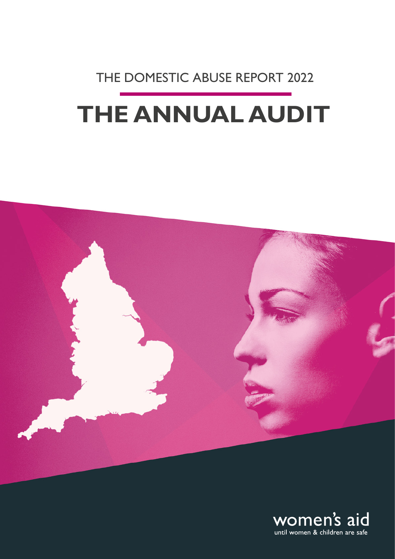## THE DOMESTIC ABUSE REPORT 2022

# **THE ANNUAL AUDIT**



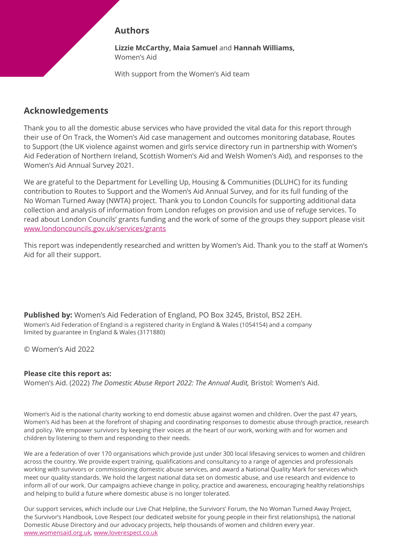#### **Authors**

**Lizzie McCarthy, Maia Samuel** and **Hannah Williams,**  Women's Aid

With support from the Women's Aid team

#### **Acknowledgements**

Thank you to all the domestic abuse services who have provided the vital data for this report through their use of On Track, the Women's Aid case management and outcomes monitoring database, Routes to Support (the UK violence against women and girls service directory run in partnership with Women's Aid Federation of Northern Ireland, Scottish Women's Aid and Welsh Women's Aid), and responses to the Women's Aid Annual Survey 2021.

We are grateful to the Department for Levelling Up, Housing & Communities (DLUHC) for its funding contribution to Routes to Support and the Women's Aid Annual Survey, and for its full funding of the No Woman Turned Away (NWTA) project. Thank you to London Councils for supporting additional data collection and analysis of information from London refuges on provision and use of refuge services. To read about London Councils' grants funding and the work of some of the groups they support please visit [www.londoncouncils.gov.uk/services/grants](http://www.londoncouncils.gov.uk/services/grants)

This report was independently researched and written by Women's Aid. Thank you to the staff at Women's Aid for all their support.

**Published by:** Women's Aid Federation of England, PO Box 3245, Bristol, BS2 2EH. Women's Aid Federation of England is a registered charity in England & Wales (1054154) and a company limited by guarantee in England & Wales (3171880)

© Women's Aid 2022

#### **Please cite this report as:**

Women's Aid. (2022) *The Domestic Abuse Report 2022: The Annual Audit,* Bristol: Women's Aid.

Women's Aid is the national charity working to end domestic abuse against women and children. Over the past 47 years, Women's Aid has been at the forefront of shaping and coordinating responses to domestic abuse through practice, research and policy. We empower survivors by keeping their voices at the heart of our work, working with and for women and children by listening to them and responding to their needs.

We are a federation of over 170 organisations which provide just under 300 local lifesaving services to women and children across the country. We provide expert training, qualifications and consultancy to a range of agencies and professionals working with survivors or commissioning domestic abuse services, and award a National Quality Mark for services which meet our quality standards. We hold the largest national data set on domestic abuse, and use research and evidence to inform all of our work. Our campaigns achieve change in policy, practice and awareness, encouraging healthy relationships and helping to build a future where domestic abuse is no longer tolerated.

Our support services, which include our Live Chat Helpline, the Survivors' Forum, the No Woman Turned Away Project, the Survivor's Handbook, Love Respect (our dedicated website for young people in their first relationships), the national Domestic Abuse Directory and our advocacy projects, help thousands of women and children every year. [www.womensaid.org.uk,](http://www.womensaid.org.uk) [www.loverespect.co.uk](http://www.loverespect.co.uk)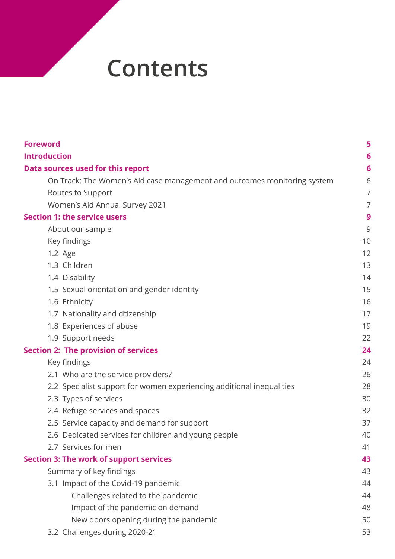## **Contents**

| <b>Foreword</b>                                                          | 5  |
|--------------------------------------------------------------------------|----|
| <b>Introduction</b>                                                      | 6  |
| Data sources used for this report                                        | 6  |
| On Track: The Women's Aid case management and outcomes monitoring system | 6  |
| Routes to Support                                                        | 7  |
| Women's Aid Annual Survey 2021                                           | 7  |
| <b>Section 1: the service users</b>                                      | 9  |
| About our sample                                                         | 9  |
| Key findings                                                             | 10 |
| 1.2 Age                                                                  | 12 |
| 1.3 Children                                                             | 13 |
| 1.4 Disability                                                           | 14 |
| 1.5 Sexual orientation and gender identity                               | 15 |
| 1.6 Ethnicity                                                            | 16 |
| 1.7 Nationality and citizenship                                          | 17 |
| 1.8 Experiences of abuse                                                 | 19 |
| 1.9 Support needs                                                        | 22 |
| <b>Section 2: The provision of services</b>                              | 24 |
| Key findings                                                             | 24 |
| 2.1 Who are the service providers?                                       | 26 |
| 2.2 Specialist support for women experiencing additional inequalities    | 28 |
| 2.3 Types of services                                                    | 30 |
| 2.4 Refuge services and spaces                                           | 32 |
| 2.5 Service capacity and demand for support                              | 37 |
| 2.6 Dedicated services for children and young people                     | 40 |
| 2.7 Services for men                                                     | 41 |
| <b>Section 3: The work of support services</b>                           | 43 |
| Summary of key findings                                                  | 43 |
| 3.1 Impact of the Covid-19 pandemic                                      | 44 |
| Challenges related to the pandemic                                       | 44 |
| Impact of the pandemic on demand                                         | 48 |
| New doors opening during the pandemic                                    | 50 |
| 3.2 Challenges during 2020-21                                            | 53 |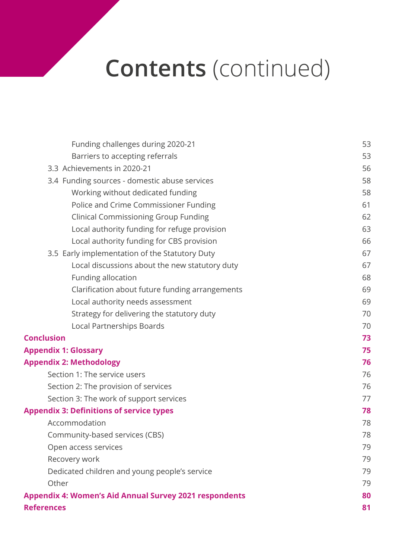# **Contents** (continued)

| Funding challenges during 2020-21                             | 53 |
|---------------------------------------------------------------|----|
| Barriers to accepting referrals                               | 53 |
| 3.3 Achievements in 2020-21                                   | 56 |
| 3.4 Funding sources - domestic abuse services                 | 58 |
| Working without dedicated funding                             | 58 |
| Police and Crime Commissioner Funding                         | 61 |
| <b>Clinical Commissioning Group Funding</b>                   | 62 |
| Local authority funding for refuge provision                  | 63 |
| Local authority funding for CBS provision                     | 66 |
| 3.5 Early implementation of the Statutory Duty                | 67 |
| Local discussions about the new statutory duty                | 67 |
| Funding allocation                                            | 68 |
| Clarification about future funding arrangements               | 69 |
| Local authority needs assessment                              | 69 |
| Strategy for delivering the statutory duty                    | 70 |
| Local Partnerships Boards                                     | 70 |
| <b>Conclusion</b>                                             | 73 |
| <b>Appendix 1: Glossary</b>                                   | 75 |
| <b>Appendix 2: Methodology</b>                                | 76 |
| Section 1: The service users                                  | 76 |
| Section 2: The provision of services                          | 76 |
| Section 3: The work of support services                       | 77 |
| <b>Appendix 3: Definitions of service types</b>               | 78 |
| Accommodation                                                 | 78 |
| Community-based services (CBS)                                | 78 |
| Open access services                                          | 79 |
| Recovery work                                                 | 79 |
| Dedicated children and young people's service                 | 79 |
| Other                                                         | 79 |
| <b>Appendix 4: Women's Aid Annual Survey 2021 respondents</b> | 80 |
| <b>References</b>                                             | 81 |
|                                                               |    |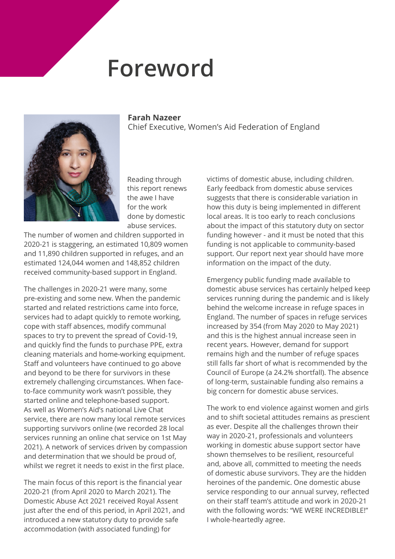## **Foreword**

**Farah Nazeer**

Chief Executive, Women's Aid Federation of England

<span id="page-4-0"></span>![](_page_4_Picture_1.jpeg)

Reading through this report renews the awe I have for the work done by domestic abuse services.

The number of women and children supported in 2020-21 is staggering, an estimated 10,809 women and 11,890 children supported in refuges, and an estimated 124,044 women and 148,852 children received community-based support in England.

The challenges in 2020-21 were many, some pre-existing and some new. When the pandemic started and related restrictions came into force, services had to adapt quickly to remote working, cope with staff absences, modify communal spaces to try to prevent the spread of Covid-19, and quickly find the funds to purchase PPE, extra cleaning materials and home-working equipment. Staff and volunteers have continued to go above and beyond to be there for survivors in these extremely challenging circumstances. When faceto-face community work wasn't possible, they started online and telephone-based support. As well as Women's Aid's national Live Chat service, there are now many local remote services supporting survivors online (we recorded 28 local services running an online chat service on 1st May 2021). A network of services driven by compassion and determination that we should be proud of, whilst we regret it needs to exist in the first place.

The main focus of this report is the financial year 2020-21 (from April 2020 to March 2021). The Domestic Abuse Act 2021 received Royal Assent just after the end of this period, in April 2021, and introduced a new statutory duty to provide safe accommodation (with associated funding) for

victims of domestic abuse, including children. Early feedback from domestic abuse services suggests that there is considerable variation in how this duty is being implemented in different local areas. It is too early to reach conclusions about the impact of this statutory duty on sector funding however - and it must be noted that this funding is not applicable to community-based support. Our report next year should have more information on the impact of the duty.

Emergency public funding made available to domestic abuse services has certainly helped keep services running during the pandemic and is likely behind the welcome increase in refuge spaces in England. The number of spaces in refuge services increased by 354 (from May 2020 to May 2021) and this is the highest annual increase seen in recent years. However, demand for support remains high and the number of refuge spaces still falls far short of what is recommended by the Council of Europe (a 24.2% shortfall). The absence of long-term, sustainable funding also remains a big concern for domestic abuse services.

The work to end violence against women and girls and to shift societal attitudes remains as prescient as ever. Despite all the challenges thrown their way in 2020-21, professionals and volunteers working in domestic abuse support sector have shown themselves to be resilient, resourceful and, above all, committed to meeting the needs of domestic abuse survivors. They are the hidden heroines of the pandemic. One domestic abuse service responding to our annual survey, reflected on their staff team's attitude and work in 2020-21 with the following words: "WE WERE INCREDIBLE!" I whole-heartedly agree.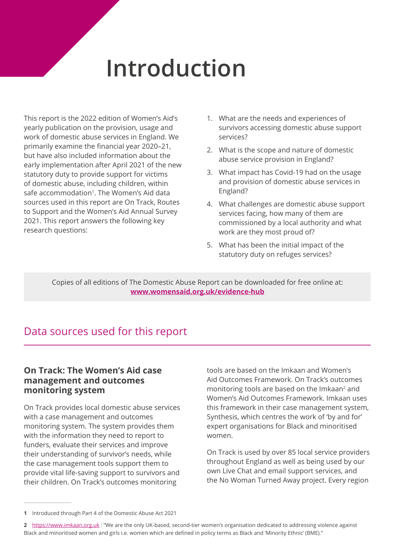# **Introduction**

<span id="page-5-0"></span>This report is the 2022 edition of Women's Aid's yearly publication on the provision, usage and work of domestic abuse services in England. We primarily examine the financial year 2020–21, but have also included information about the early implementation after April 2021 of the new statutory duty to provide support for victims of domestic abuse, including children, within safe accommodation<sup>1</sup>. The Women's Aid data sources used in this report are On Track, Routes to Support and the Women's Aid Annual Survey 2021. This report answers the following key research questions:

- 1. What are the needs and experiences of survivors accessing domestic abuse support services?
- 2. What is the scope and nature of domestic abuse service provision in England?
- 3. What impact has Covid-19 had on the usage and provision of domestic abuse services in England?
- 4. What challenges are domestic abuse support services facing, how many of them are commissioned by a local authority and what work are they most proud of?
- 5. What has been the initial impact of the statutory duty on refuges services?

Copies of all editions of The Domestic Abuse Report can be downloaded for free online at: **[www.womensaid.org.uk/e](http://www.womensaid.org.uk/research-and-publications/the-domestic-abuse-report)vidence-hub**

## Data sources used for this report

#### **On Track: The Women's Aid case management and outcomes monitoring system**

On Track provides local domestic abuse services with a case management and outcomes monitoring system. The system provides them with the information they need to report to funders, evaluate their services and improve their understanding of survivor's needs, while the case management tools support them to provide vital life-saving support to survivors and their children. On Track's outcomes monitoring

tools are based on the Imkaan and Women's Aid Outcomes Framework. On Track's outcomes monitoring tools are based on the Imkaan2 and Women's Aid Outcomes Framework. Imkaan uses this framework in their case management system, Synthesis, which centres the work of 'by and for' expert organisations for Black and minoritised women.

On Track is used by over 85 local service providers throughout England as well as being used by our own Live Chat and email support services, and the No Woman Turned Away project. Every region

**<sup>1</sup>** Introduced through Part 4 of the Domestic Abuse Act 2021

**<sup>2</sup>** <https://www.imkaan.org.uk>: "We are the only UK-based, second-tier women's organisation dedicated to addressing violence against Black and minoritised women and girls i.e. women which are defined in policy terms as Black and 'Minority Ethnic' (BME)."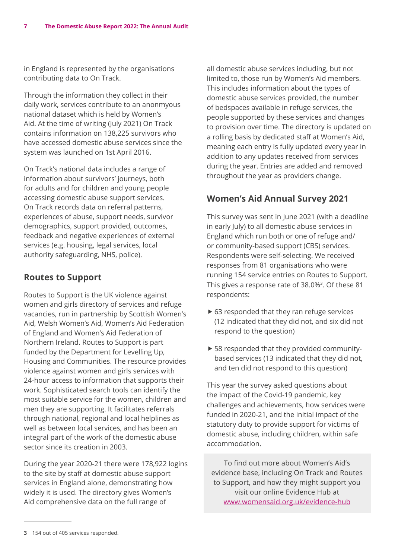<span id="page-6-0"></span>in England is represented by the organisations contributing data to On Track.

Through the information they collect in their daily work, services contribute to an anonmyous national dataset which is held by Women's Aid. At the time of writing (July 2021) On Track contains information on 138,225 survivors who have accessed domestic abuse services since the system was launched on 1st April 2016.

On Track's national data includes a range of information about survivors' journeys, both for adults and for children and young people accessing domestic abuse support services. On Track records data on referral patterns, experiences of abuse, support needs, survivor demographics, support provided, outcomes, feedback and negative experiences of external services (e.g. housing, legal services, local authority safeguarding, NHS, police).

#### **Routes to Support**

Routes to Support is the UK violence against women and girls directory of services and refuge vacancies, run in partnership by Scottish Women's Aid, Welsh Women's Aid, Women's Aid Federation of England and Women's Aid Federation of Northern Ireland. Routes to Support is part funded by the Department for Levelling Up, Housing and Communities. The resource provides violence against women and girls services with 24-hour access to information that supports their work. Sophisticated search tools can identify the most suitable service for the women, children and men they are supporting. It facilitates referrals through national, regional and local helplines as well as between local services, and has been an integral part of the work of the domestic abuse sector since its creation in 2003.

During the year 2020-21 there were 178,922 logins to the site by staff at domestic abuse support services in England alone, demonstrating how widely it is used. The directory gives Women's Aid comprehensive data on the full range of

all domestic abuse services including, but not limited to, those run by Women's Aid members. This includes information about the types of domestic abuse services provided, the number of bedspaces available in refuge services, the people supported by these services and changes to provision over time. The directory is updated on a rolling basis by dedicated staff at Women's Aid, meaning each entry is fully updated every year in addition to any updates received from services during the year. Entries are added and removed throughout the year as providers change.

#### **Women's Aid Annual Survey 2021**

This survey was sent in June 2021 (with a deadline in early July) to all domestic abuse services in England which run both or one of refuge and/ or community-based support (CBS) services. Respondents were self-selecting. We received responses from 81 organisations who were running 154 service entries on Routes to Support. This gives a response rate of 38.0%<sup>3</sup>. Of these 81 respondents:

- $\triangleright$  63 responded that they ran refuge services (12 indicated that they did not, and six did not respond to the question)
- $\triangleright$  58 responded that they provided communitybased services (13 indicated that they did not, and ten did not respond to this question)

This year the survey asked questions about the impact of the Covid-19 pandemic, key challenges and achievements, how services were funded in 2020-21, and the initial impact of the statutory duty to provide support for victims of domestic abuse, including children, within safe accommodation.

To find out more about Women's Aid's evidence base, including On Track and Routes to Support, and how they might support you visit our online Evidence Hub at [www.womensaid.org.uk/evidence-hub](http://www.womensaid.org.uk/evidence-hub)

**<sup>3</sup>** 154 out of 405 services responded.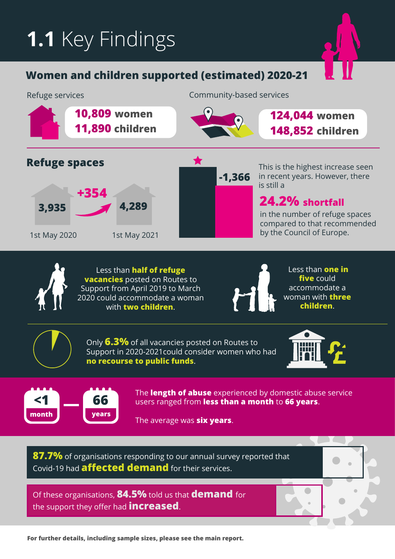# **1.1** Key Findings

## **Women and children supported (estimated) 2020-21**

![](_page_7_Figure_2.jpeg)

![](_page_7_Picture_3.jpeg)

Less than **half of refuge vacancies** posted on Routes to Support from April 2019 to March 2020 could accommodate a woman with **two children**.

![](_page_7_Picture_5.jpeg)

 Less than **one in five** could accommodate a woman with **three children**.

Only **6.3%** of all vacancies posted on Routes to Support in 2020-2021could consider women who had **no recourse to public funds**.

![](_page_7_Picture_9.jpeg)

![](_page_7_Picture_10.jpeg)

The **length of abuse** experienced by domestic abuse service users ranged from **less than a month** to **66 years**.

The average was **six years**. **years**

**87.7%** of organisations responding to our annual survey reported that Covid-19 had **affected demand** for their services.

Of these organisations, **84.5%** told us that **demand** for the support they offer had **increased**.

**For further details, including sample sizes, please see the main report.**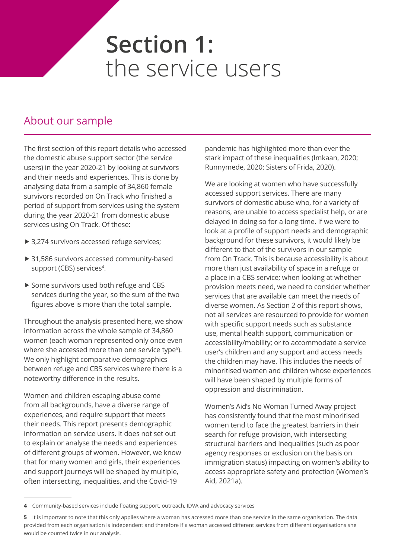## <span id="page-8-0"></span>**Section 1:**  the service users

## About our sample

The first section of this report details who accessed the domestic abuse support sector (the service users) in the year 2020-21 by looking at survivors and their needs and experiences. This is done by analysing data from a sample of 34,860 female survivors recorded on On Track who finished a period of support from services using the system during the year 2020-21 from domestic abuse services using On Track. Of these:

- ▶ 3,274 survivors accessed refuge services;
- ▶ 31,586 survivors accessed community-based support (CBS) services<sup>4</sup>.
- Some survivors used both refuge and CBS services during the year, so the sum of the two figures above is more than the total sample.

Throughout the analysis presented here, we show information across the whole sample of 34,860 women (each woman represented only once even where she accessed more than one service type<sup>5</sup>). We only highlight comparative demographics between refuge and CBS services where there is a noteworthy difference in the results.

Women and children escaping abuse come from all backgrounds, have a diverse range of experiences, and require support that meets their needs. This report presents demographic information on service users. It does not set out to explain or analyse the needs and experiences of different groups of women. However, we know that for many women and girls, their experiences and support journeys will be shaped by multiple, often intersecting, inequalities, and the Covid-19

pandemic has highlighted more than ever the stark impact of these inequalities (Imkaan, 2020; Runnymede, 2020; Sisters of Frida, 2020).

We are looking at women who have successfully accessed support services. There are many survivors of domestic abuse who, for a variety of reasons, are unable to access specialist help, or are delayed in doing so for a long time. If we were to look at a profile of support needs and demographic background for these survivors, it would likely be different to that of the survivors in our sample from On Track. This is because accessibility is about more than just availability of space in a refuge or a place in a CBS service; when looking at whether provision meets need, we need to consider whether services that are available can meet the needs of diverse women. As Section 2 of this report shows, not all services are resourced to provide for women with specific support needs such as substance use, mental health support, communication or accessibility/mobility; or to accommodate a service user's children and any support and access needs the children may have. This includes the needs of minoritised women and children whose experiences will have been shaped by multiple forms of oppression and discrimination.

Women's Aid's No Woman Turned Away project has consistently found that the most minoritised women tend to face the greatest barriers in their search for refuge provision, with intersecting structural barriers and inequalities (such as poor agency responses or exclusion on the basis on immigration status) impacting on women's ability to access appropriate safety and protection (Women's Aid, 2021a).

**<sup>4</sup>** Community-based services include floating support, outreach, IDVA and advocacy services

**<sup>5</sup>** It is important to note that this only applies where a woman has accessed more than one service in the same organisation. The data provided from each organisation is independent and therefore if a woman accessed different services from different organisations she would be counted twice in our analysis.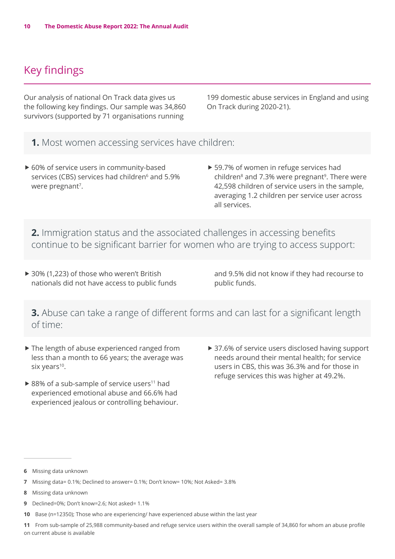## <span id="page-9-0"></span>Key findings

Our analysis of national On Track data gives us the following key findings. Our sample was 34,860 survivors (supported by 71 organisations running

199 domestic abuse services in England and using On Track during 2020-21).

- **1.** Most women accessing services have children:
- ▶ 60% of service users in community-based services (CBS) services had children<sup>6</sup> and 5.9% were pregnant<sup>7</sup>.
- ▶ 59.7% of women in refuge services had children $8$  and 7.3% were pregnant $9$ . There were 42,598 children of service users in the sample, averaging 1.2 children per service user across all services.

**2.** Immigration status and the associated challenges in accessing benefits continue to be significant barrier for women who are trying to access support:

▶ 30% (1,223) of those who weren't British nationals did not have access to public funds and 9.5% did not know if they had recourse to public funds.

**3.** Abuse can take a range of different forms and can last for a significant length of time:

- $\blacktriangleright$  The length of abuse experienced ranged from less than a month to 66 years; the average was six years<sup>10</sup>.
- $\triangleright$  88% of a sub-sample of service users<sup>11</sup> had experienced emotional abuse and 66.6% had experienced jealous or controlling behaviour.
- ▶ 37.6% of service users disclosed having support needs around their mental health; for service users in CBS, this was 36.3% and for those in refuge services this was higher at 49.2%.

- **9** Declined=0%; Don't know=2.6; Not asked= 1.1%
- **10** Base (n=12350); Those who are experiencing/ have experienced abuse within the last year

**11** From sub-sample of 25,988 community-based and refuge service users within the overall sample of 34,860 for whom an abuse profile on current abuse is available

**<sup>6</sup>** Missing data unknown

**<sup>7</sup>** Missing data= 0.1%; Declined to answer= 0.1%; Don't know= 10%; Not Asked= 3.8%

**<sup>8</sup>** Missing data unknown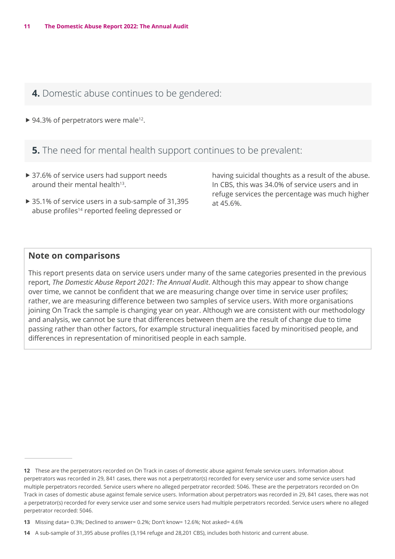**4.** Domestic abuse continues to be gendered:

 $\triangleright$  94.3% of perpetrators were male<sup>12</sup>.

**5.** The need for mental health support continues to be prevalent:

- ▶ 37.6% of service users had support needs around their mental health<sup>13</sup>.
- $\triangleright$  35.1% of service users in a sub-sample of 31,395 abuse profiles<sup>14</sup> reported feeling depressed or

having suicidal thoughts as a result of the abuse. In CBS, this was 34.0% of service users and in refuge services the percentage was much higher at 45.6%.

#### **Note on comparisons**

This report presents data on service users under many of the same categories presented in the previous report, *The Domestic Abuse Report 2021: The Annual Audit*. Although this may appear to show change over time, we cannot be confident that we are measuring change over time in service user profiles; rather, we are measuring difference between two samples of service users. With more organisations joining On Track the sample is changing year on year. Although we are consistent with our methodology and analysis, we cannot be sure that differences between them are the result of change due to time passing rather than other factors, for example structural inequalities faced by minoritised people, and differences in representation of minoritised people in each sample.

**<sup>12</sup>** These are the perpetrators recorded on On Track in cases of domestic abuse against female service users. Information about perpetrators was recorded in 29, 841 cases, there was not a perpetrator(s) recorded for every service user and some service users had multiple perpetrators recorded. Service users where no alleged perpetrator recorded: 5046. These are the perpetrators recorded on On Track in cases of domestic abuse against female service users. Information about perpetrators was recorded in 29, 841 cases, there was not a perpetrator(s) recorded for every service user and some service users had multiple perpetrators recorded. Service users where no alleged perpetrator recorded: 5046.

**<sup>13</sup>** Missing data= 0.3%; Declined to answer= 0.2%; Don't know= 12.6%; Not asked= 4.6%

**<sup>14</sup>** A sub-sample of 31,395 abuse profiles (3,194 refuge and 28,201 CBS), includes both historic and current abuse.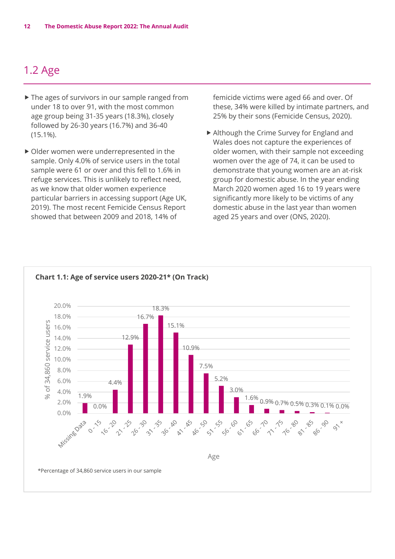## <span id="page-11-0"></span>1.2 Age

- $\blacktriangleright$  The ages of survivors in our sample ranged from under 18 to over 91, with the most common age group being 31-35 years (18.3%), closely followed by 26-30 years (16.7%) and 36-40 (15.1%).
- $\triangleright$  Older women were underrepresented in the sample. Only 4.0% of service users in the total sample were 61 or over and this fell to 1.6% in refuge services. This is unlikely to reflect need, as we know that older women experience particular barriers in accessing support (Age UK, 2019). The most recent Femicide Census Report showed that between 2009 and 2018, 14% of

femicide victims were aged 66 and over. Of these, 34% were killed by intimate partners, and 25% by their sons (Femicide Census, 2020).

▶ Although the Crime Survey for England and Wales does not capture the experiences of older women, with their sample not exceeding women over the age of 74, it can be used to demonstrate that young women are an at-risk group for domestic abuse. In the year ending March 2020 women aged 16 to 19 years were significantly more likely to be victims of any domestic abuse in the last year than women aged 25 years and over (ONS, 2020).

![](_page_11_Figure_6.jpeg)

#### **Chart 1.1: Age of service users 2020-21\* (On Track)**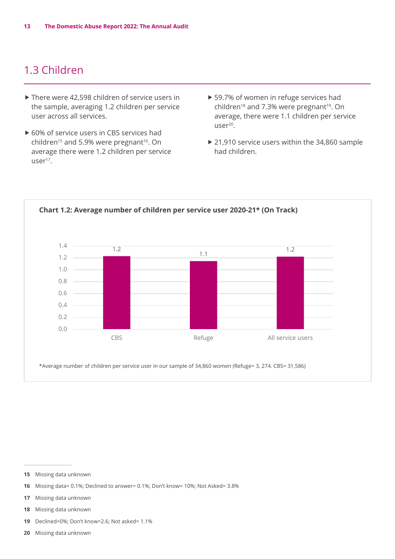## <span id="page-12-0"></span>1.3 Children

- $\triangleright$  There were 42,598 children of service users in the sample, averaging 1.2 children per service user across all services.
- $\triangleright$  60% of service users in CBS services had children<sup>15</sup> and 5.9% were pregnant<sup>16</sup>. On average there were 1.2 children per service user<sup>17</sup>.
- ▶ 59.7% of women in refuge services had children<sup>18</sup> and 7.3% were pregnant<sup>19</sup>. On average, there were 1.1 children per service  $user<sup>20</sup>$ .
- $\triangleright$  21,910 service users within the 34,860 sample had children.

![](_page_12_Figure_6.jpeg)

**15** Missing data unknown

- **16** Missing data= 0.1%; Declined to answer= 0.1%; Don't know= 10%; Not Asked= 3.8%
- **17** Missing data unknown
- **18** Missing data unknown
- **19** Declined=0%; Don't know=2.6; Not asked= 1.1%
- **20** Missing data unknown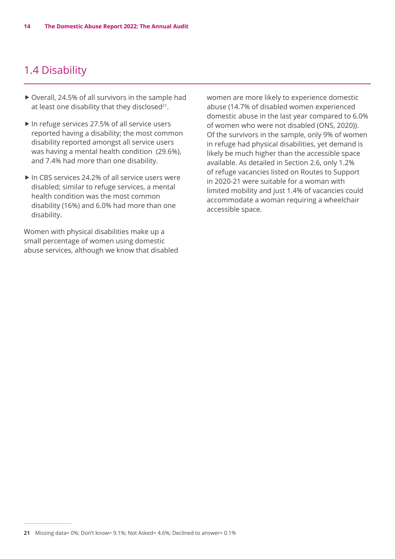## <span id="page-13-0"></span>1.4 Disability

- $\triangleright$  Overall, 24.5% of all survivors in the sample had at least one disability that they disclosed<sup>21</sup>.
- $\blacktriangleright$  In refuge services 27.5% of all service users reported having a disability; the most common disability reported amongst all service users was having a mental health condition (29.6%), and 7.4% had more than one disability.
- $\blacktriangleright$  In CBS services 24.2% of all service users were disabled; similar to refuge services, a mental health condition was the most common disability (16%) and 6.0% had more than one disability.

Women with physical disabilities make up a small percentage of women using domestic abuse services, although we know that disabled women are more likely to experience domestic abuse (14.7% of disabled women experienced domestic abuse in the last year compared to 6.0% of women who were not disabled (ONS, 2020)). Of the survivors in the sample, only 9% of women in refuge had physical disabilities, yet demand is likely be much higher than the accessible space available. As detailed in Section 2.6, only 1.2% of refuge vacancies listed on Routes to Support in 2020-21 were suitable for a woman with limited mobility and just 1.4% of vacancies could accommodate a woman requiring a wheelchair accessible space.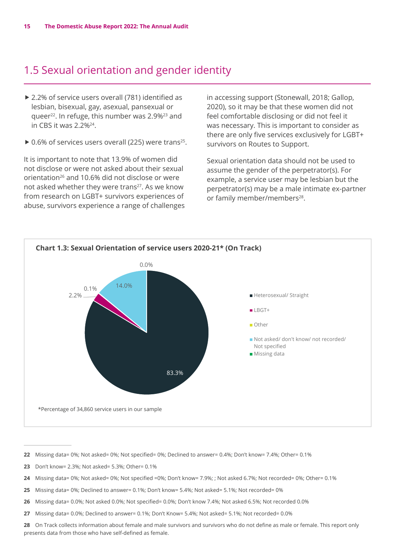## <span id="page-14-0"></span>1.5 Sexual orientation and gender identity

- ▶ 2.2% of service users overall (781) identified as lesbian, bisexual, gay, asexual, pansexual or queer22. In refuge, this number was 2.9%23 and in CBS it was  $2.2\%^{24}$ .
- $\triangleright$  0.6% of services users overall (225) were trans<sup>25</sup>.

It is important to note that 13.9% of women did not disclose or were not asked about their sexual orientation<sup>26</sup> and 10.6% did not disclose or were not asked whether they were trans<sup>27</sup>. As we know from research on LGBT+ survivors experiences of abuse, survivors experience a range of challenges in accessing support (Stonewall, 2018; Gallop, 2020), so it may be that these women did not feel comfortable disclosing or did not feel it was necessary. This is important to consider as there are only five services exclusively for LGBT+ survivors on Routes to Support.

Sexual orientation data should not be used to assume the gender of the perpetrator(s). For example, a service user may be lesbian but the perpetrator(s) may be a male intimate ex-partner or family member/members<sup>28</sup>.

![](_page_14_Figure_7.jpeg)

- **22** Missing data= 0%; Not asked= 0%; Not specified= 0%; Declined to answer= 0.4%; Don't know= 7.4%; Other= 0.1%
- **23** Don't know= 2.3%; Not asked= 5.3%; Other= 0.1%
- **24** Missing data= 0%; Not asked= 0%; Not specified =0%; Don't know= 7.9%; ; Not asked 6.7%; Not recorded= 0%; Other= 0.1%
- **25** Missing data= 0%; Declined to answer= 0.1%; Don't know= 5.4%; Not asked= 5.1%; Not recorded= 0%
- **26** Missing data= 0.0%; Not asked 0.0%; Not specified= 0.0%; Don't know 7.4%; Not asked 6.5%; Not recorded 0.0%
- **27** Missing data= 0.0%; Declined to answer= 0.1%; Don't Know= 5.4%; Not asked= 5.1%; Not recorded= 0.0%

**28** On Track collects information about female and male survivors and survivors who do not define as male or female. This report only presents data from those who have self-defined as female.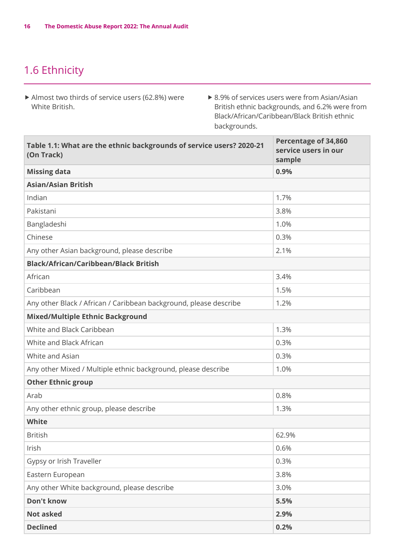## <span id="page-15-0"></span>1.6 Ethnicity

- $\blacktriangleright$  Almost two thirds of service users (62.8%) were White British.
- $\triangleright$  8.9% of services users were from Asian/Asian British ethnic backgrounds, and 6.2% were from Black/African/Caribbean/Black British ethnic backgrounds.

| Table 1.1: What are the ethnic backgrounds of service users? 2020-21<br>(On Track) | Percentage of 34,860<br>service users in our<br>sample |  |
|------------------------------------------------------------------------------------|--------------------------------------------------------|--|
| <b>Missing data</b>                                                                | 0.9%                                                   |  |
| <b>Asian/Asian British</b>                                                         |                                                        |  |
| Indian                                                                             | 1.7%                                                   |  |
| Pakistani                                                                          | 3.8%                                                   |  |
| Bangladeshi                                                                        | 1.0%                                                   |  |
| Chinese                                                                            | 0.3%                                                   |  |
| Any other Asian background, please describe                                        | 2.1%                                                   |  |
| <b>Black/African/Caribbean/Black British</b>                                       |                                                        |  |
| African                                                                            | 3.4%                                                   |  |
| Caribbean                                                                          | 1.5%                                                   |  |
| Any other Black / African / Caribbean background, please describe                  | 1.2%                                                   |  |
| <b>Mixed/Multiple Ethnic Background</b>                                            |                                                        |  |
| White and Black Caribbean                                                          | 1.3%                                                   |  |
| White and Black African                                                            | 0.3%                                                   |  |
| White and Asian                                                                    | 0.3%                                                   |  |
| Any other Mixed / Multiple ethnic background, please describe                      | 1.0%                                                   |  |
| <b>Other Ethnic group</b>                                                          |                                                        |  |
| Arab                                                                               | 0.8%                                                   |  |
| Any other ethnic group, please describe                                            | 1.3%                                                   |  |
| <b>White</b>                                                                       |                                                        |  |
| <b>British</b>                                                                     | 62.9%                                                  |  |
| Irish                                                                              | 0.6%                                                   |  |
| Gypsy or Irish Traveller                                                           | 0.3%                                                   |  |
| Eastern European                                                                   | 3.8%                                                   |  |
| Any other White background, please describe                                        | 3.0%                                                   |  |
| <b>Don't know</b>                                                                  | 5.5%                                                   |  |
| <b>Not asked</b>                                                                   | 2.9%                                                   |  |
| <b>Declined</b>                                                                    | 0.2%                                                   |  |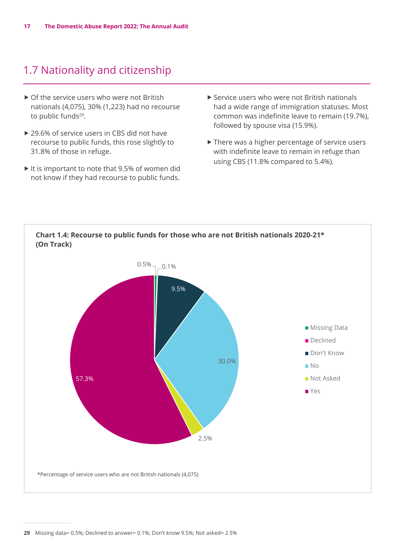## <span id="page-16-0"></span>1.7 Nationality and citizenship

- $\triangleright$  Of the service users who were not British nationals (4,075), 30% (1,223) had no recourse to public funds<sup>29</sup>.
- $\triangleright$  29.6% of service users in CBS did not have recourse to public funds, this rose slightly to 31.8% of those in refuge.
- $\blacktriangleright$  It is important to note that 9.5% of women did not know if they had recourse to public funds.
- $\triangleright$  Service users who were not British nationals had a wide range of immigration statuses. Most common was indefinite leave to remain (19.7%), followed by spouse visa (15.9%).
- $\blacktriangleright$  There was a higher percentage of service users with indefinite leave to remain in refuge than using CBS (11.8% compared to 5.4%).

![](_page_16_Figure_7.jpeg)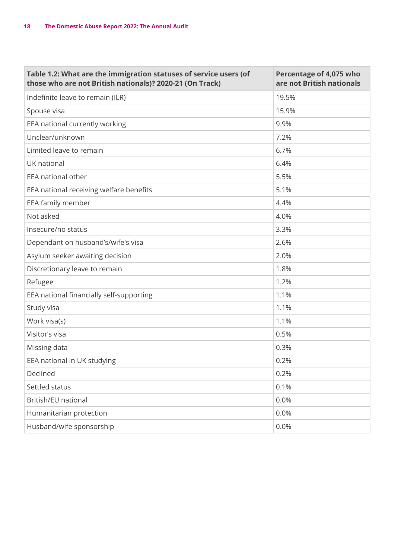| Table 1.2: What are the immigration statuses of service users (of<br>those who are not British nationals)? 2020-21 (On Track) | Percentage of 4,075 who<br>are not British nationals |
|-------------------------------------------------------------------------------------------------------------------------------|------------------------------------------------------|
| Indefinite leave to remain (ILR)                                                                                              | 19.5%                                                |
| Spouse visa                                                                                                                   | 15.9%                                                |
| EEA national currently working                                                                                                | 9.9%                                                 |
| Unclear/unknown                                                                                                               | 7.2%                                                 |
| Limited leave to remain                                                                                                       | 6.7%                                                 |
| UK national                                                                                                                   | 6.4%                                                 |
| EEA national other                                                                                                            | 5.5%                                                 |
| EEA national receiving welfare benefits                                                                                       | 5.1%                                                 |
| EEA family member                                                                                                             | 4.4%                                                 |
| Not asked                                                                                                                     | 4.0%                                                 |
| Insecure/no status                                                                                                            | 3.3%                                                 |
| Dependant on husband's/wife's visa                                                                                            | 2.6%                                                 |
| Asylum seeker awaiting decision                                                                                               | 2.0%                                                 |
| Discretionary leave to remain                                                                                                 | 1.8%                                                 |
| Refugee                                                                                                                       | 1.2%                                                 |
| EEA national financially self-supporting                                                                                      | 1.1%                                                 |
| Study visa                                                                                                                    | 1.1%                                                 |
| Work visa(s)                                                                                                                  | 1.1%                                                 |
| Visitor's visa                                                                                                                | 0.5%                                                 |
| Missing data                                                                                                                  | 0.3%                                                 |
| EEA national in UK studying                                                                                                   | 0.2%                                                 |
| Declined                                                                                                                      | 0.2%                                                 |
| Settled status                                                                                                                | 0.1%                                                 |
| British/EU national                                                                                                           | 0.0%                                                 |
| Humanitarian protection                                                                                                       | 0.0%                                                 |
| Husband/wife sponsorship                                                                                                      | 0.0%                                                 |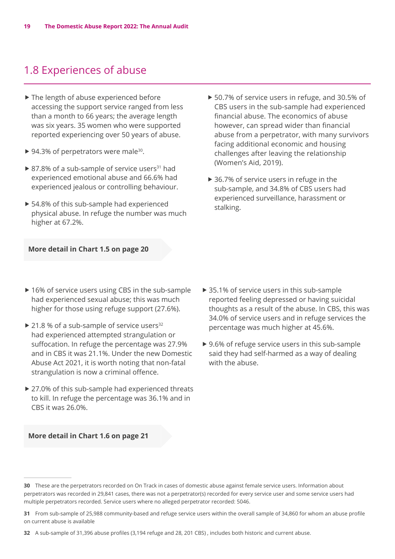## <span id="page-18-0"></span>1.8 Experiences of abuse

- $\blacktriangleright$  The length of abuse experienced before accessing the support service ranged from less than a month to 66 years; the average length was six years. 35 women who were supported reported experiencing over 50 years of abuse.
- ▶ 94.3% of perpetrators were male<sup>30</sup>.
- $\triangleright$  87.8% of a sub-sample of service users<sup>31</sup> had experienced emotional abuse and 66.6% had experienced jealous or controlling behaviour.
- ▶ 54.8% of this sub-sample had experienced physical abuse. In refuge the number was much higher at 67.2%.
- **More detail in Chart 1.5 on page 20**
- $\triangleright$  16% of service users using CBS in the sub-sample had experienced sexual abuse; this was much higher for those using refuge support (27.6%).
- $\triangleright$  21.8 % of a sub-sample of service users<sup>32</sup> had experienced attempted strangulation or suffocation. In refuge the percentage was 27.9% and in CBS it was 21.1%. Under the new Domestic Abuse Act 2021, it is worth noting that non-fatal strangulation is now a criminal offence.
- $\triangleright$  27.0% of this sub-sample had experienced threats to kill. In refuge the percentage was 36.1% and in CBS it was 26.0%.
- **More detail in Chart 1.6 on page 21**
- ▶ 50.7% of service users in refuge, and 30.5% of CBS users in the sub-sample had experienced financial abuse. The economics of abuse however, can spread wider than financial abuse from a perpetrator, with many survivors facing additional economic and housing challenges after leaving the relationship (Women's Aid, 2019).
- $\triangleright$  36.7% of service users in refuge in the sub-sample, and 34.8% of CBS users had experienced surveillance, harassment or stalking.

- $\triangleright$  35.1% of service users in this sub-sample reported feeling depressed or having suicidal thoughts as a result of the abuse. In CBS, this was 34.0% of service users and in refuge services the percentage was much higher at 45.6%.
- $\triangleright$  9.6% of refuge service users in this sub-sample said they had self-harmed as a way of dealing with the abuse.

**32** A sub-sample of 31,396 abuse profiles (3,194 refuge and 28, 201 CBS) , includes both historic and current abuse.

**<sup>30</sup>** These are the perpetrators recorded on On Track in cases of domestic abuse against female service users. Information about perpetrators was recorded in 29,841 cases, there was not a perpetrator(s) recorded for every service user and some service users had multiple perpetrators recorded. Service users where no alleged perpetrator recorded: 5046.

**<sup>31</sup>** From sub-sample of 25,988 community-based and refuge service users within the overall sample of 34,860 for whom an abuse profile on current abuse is available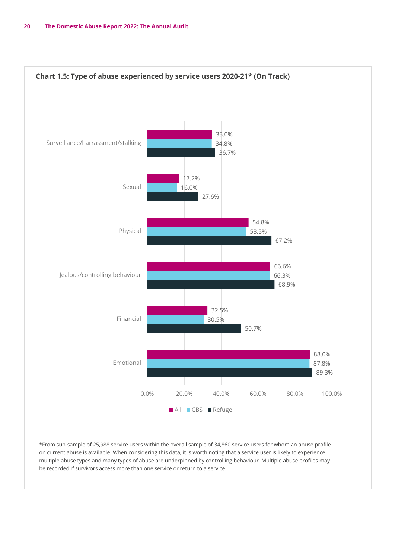![](_page_19_Figure_1.jpeg)

 $*$  From sub-sample of 25,988 service users within the overall sample of 34,860 service users for whom an abuse profile on carrent asses is a random many considering this date, the north neargetize sorned doer is many to experience<br>multiple abuse types and many types of abuse are underpinned by controlling behaviour. Multiple abuse profiles be recorded if survivors access more than one service or return to a service. on current abuse is available. When considering this data, it is worth noting that a service user is likely to experience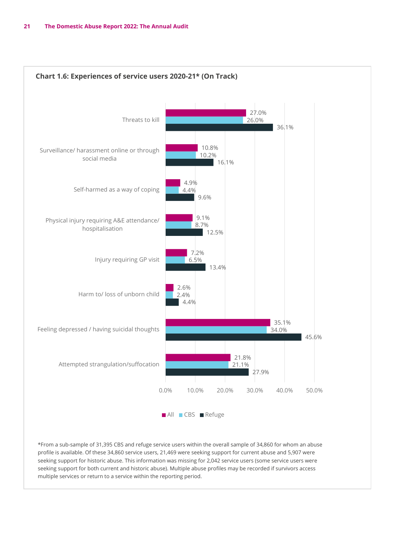![](_page_20_Figure_1.jpeg)

\*From a sub-sample of 31,395 CBS and refuge service users within the overall sample of 34,860 for whom an abuse \*From a sub-sample of 31,395 CBS and refuge service users within the overall sample of profile is available. Of these 34,860 service users, 21,469 were seeking support for current abuse and 5,907 were seeking support for current abuse and 5,907 were seeking support for historic abuse. This seeking support for historic abuse. This information was missing for 2,042 service users (some service users were seeking support for historic abuse. This information was missing for 2,042 service users (some service users were<br>seeking support for both current and historic abuse). Multiple abuse profiles may be recorded if survivors a multiple services or return to a service within the reporting period. access multiple services or return to a service within the reporting period.a sub-sample of 51,393 CD3 and reluge service users within the overall sample of 34,860 for whom all and the s for both current and historic abuse). Multiple abuse profiles may be recorded if survivors and  $\epsilon$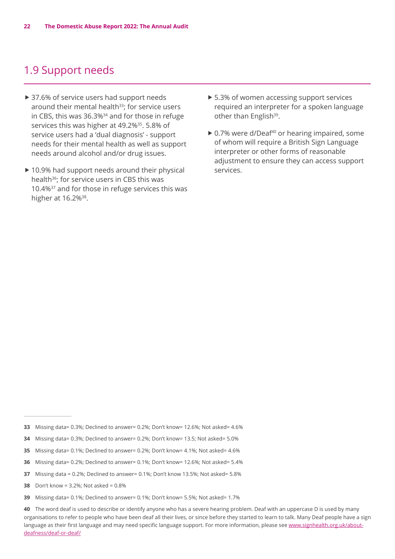#### <span id="page-21-0"></span>1.9 Support needs

- ▶ 37.6% of service users had support needs around their mental health<sup>33</sup>; for service users in CBS, this was 36.3%<sup>34</sup> and for those in refuge services this was higher at 49.2%<sup>35</sup>. 5.8% of service users had a 'dual diagnosis' - support needs for their mental health as well as support needs around alcohol and/or drug issues.
- $\triangleright$  10.9% had support needs around their physical health<sup>36</sup>; for service users in CBS this was 10.4%37 and for those in refuge services this was higher at 16.2%<sup>38</sup>.
- $\triangleright$  5.3% of women accessing support services required an interpreter for a spoken language other than English<sup>39</sup>.
- $\triangleright$  0.7% were d/Deaf<sup>40</sup> or hearing impaired, some of whom will require a British Sign Language interpreter or other forms of reasonable adjustment to ensure they can access support services.

- **33** Missing data= 0.3%; Declined to answer= 0.2%; Don't know= 12.6%; Not asked= 4.6%
- **34** Missing data= 0.3%; Declined to answer= 0.2%; Don't know= 13.5; Not asked= 5.0%
- **35** Missing data= 0.1%; Declined to answer= 0.2%; Don't know= 4.1%; Not asked= 4.6%
- **36** Missing data= 0.2%; Declined to answer= 0.1%; Don't know= 12.6%; Not asked= 5.4%
- **37** Missing data = 0.2%; Declined to answer= 0.1%; Don't know 13.5%; Not asked= 5.8%
- **38** Don't know = 3.2%; Not asked = 0.8%
- **39** Missing data= 0.1%; Declined to answer= 0.1%; Don't know= 5.5%; Not asked= 1.7%

**40** The word deaf is used to describe or identify anyone who has a severe hearing problem. Deaf with an uppercase D is used by many organisations to refer to people who have been deaf all their lives, or since before they started to learn to talk. Many Deaf people have a sign language as their first language and may need specific language support. For more information, please see [www.signhealth.org.uk/about](http://www.signhealth.org.uk/about-deafness/deaf-or-deaf/)[deafness/deaf-or-deaf/](http://www.signhealth.org.uk/about-deafness/deaf-or-deaf/)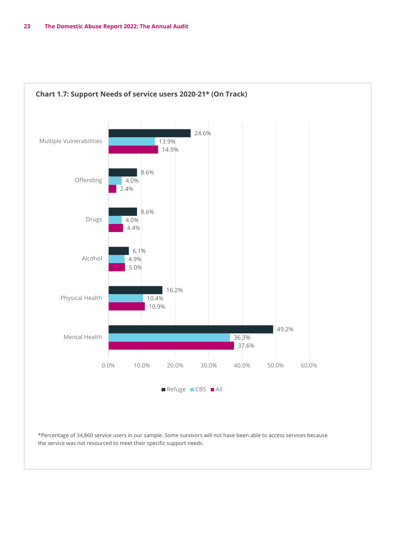![](_page_22_Figure_1.jpeg)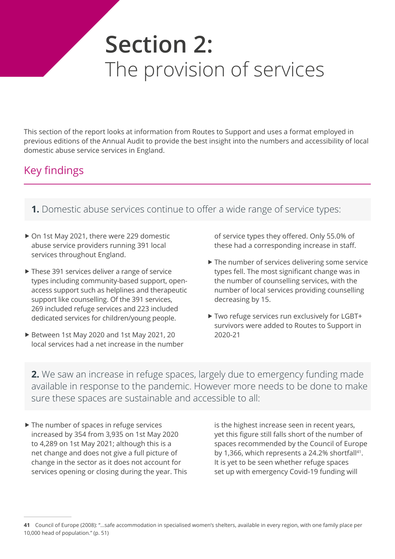## <span id="page-23-0"></span>**Section 2:**  The provision of services

This section of the report looks at information from Routes to Support and uses a format employed in previous editions of the Annual Audit to provide the best insight into the numbers and accessibility of local domestic abuse service services in England.

## Key findings

- **1.** Domestic abuse services continue to offer a wide range of service types:
- ▶ On 1st May 2021, there were 229 domestic abuse service providers running 391 local services throughout England.
- $\blacktriangleright$  These 391 services deliver a range of service types including community-based support, openaccess support such as helplines and therapeutic support like counselling. Of the 391 services, 269 included refuge services and 223 included dedicated services for children/young people.
- ▶ Between 1st May 2020 and 1st May 2021, 20 local services had a net increase in the number

of service types they offered. Only 55.0% of these had a corresponding increase in staff.

- $\blacktriangleright$  The number of services delivering some service types fell. The most significant change was in the number of counselling services, with the number of local services providing counselling decreasing by 15.
- ▶ Two refuge services run exclusively for LGBT+ survivors were added to Routes to Support in 2020-21

**2.** We saw an increase in refuge spaces, largely due to emergency funding made available in response to the pandemic. However more needs to be done to make sure these spaces are sustainable and accessible to all:

 $\blacktriangleright$  The number of spaces in refuge services increased by 354 from 3,935 on 1st May 2020 to 4,289 on 1st May 2021; although this is a net change and does not give a full picture of change in the sector as it does not account for services opening or closing during the year. This is the highest increase seen in recent years, yet this figure still falls short of the number of spaces recommended by the Council of Europe by 1,366, which represents a 24.2% shortfall<sup>41</sup>. It is yet to be seen whether refuge spaces set up with emergency Covid-19 funding will

**<sup>41</sup>** Council of Europe (2008): "…safe accommodation in specialised women's shelters, available in every region, with one family place per 10,000 head of population." (p. 51)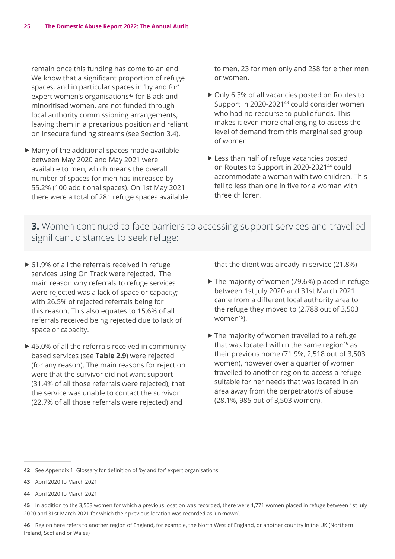remain once this funding has come to an end. We know that a significant proportion of refuge spaces, and in particular spaces in 'by and for' expert women's organisations<sup>42</sup> for Black and minoritised women, are not funded through local authority commissioning arrangements, leaving them in a precarious position and reliant on insecure funding streams (see Section 3.4).

 $\blacktriangleright$  Many of the additional spaces made available between May 2020 and May 2021 were available to men, which means the overall number of spaces for men has increased by 55.2% (100 additional spaces). On 1st May 2021 there were a total of 281 refuge spaces available to men, 23 for men only and 258 for either men or women.

- ▶ Only 6.3% of all vacancies posted on Routes to Support in 2020-2021<sup>43</sup> could consider women who had no recourse to public funds. This makes it even more challenging to assess the level of demand from this marginalised group of women.
- $\blacktriangleright$  Less than half of refuge vacancies posted on Routes to Support in 2020-2021<sup>44</sup> could accommodate a woman with two children. This fell to less than one in five for a woman with three children.

**3.** Women continued to face barriers to accessing support services and travelled significant distances to seek refuge:

- $\triangleright$  61.9% of all the referrals received in refuge services using On Track were rejected. The main reason why referrals to refuge services were rejected was a lack of space or capacity; with 26.5% of rejected referrals being for this reason. This also equates to 15.6% of all referrals received being rejected due to lack of space or capacity.
- $\triangleright$  45.0% of all the referrals received in communitybased services (see **Table 2.9**) were rejected (for any reason). The main reasons for rejection were that the survivor did not want support (31.4% of all those referrals were rejected), that the service was unable to contact the survivor (22.7% of all those referrals were rejected) and

that the client was already in service (21.8%)

- $\blacktriangleright$  The majority of women (79.6%) placed in refuge between 1st July 2020 and 31st March 2021 came from a different local authority area to the refuge they moved to (2,788 out of 3,503 women $45$ ).
- $\blacktriangleright$  The majority of women travelled to a refuge that was located within the same region $46$  as their previous home (71.9%, 2,518 out of 3,503 women), however over a quarter of women travelled to another region to access a refuge suitable for her needs that was located in an area away from the perpetrator/s of abuse (28.1%, 985 out of 3,503 women).

**46** Region here refers to another region of England, for example, the North West of England, or another country in the UK (Northern Ireland, Scotland or Wales)

**<sup>42</sup>** See Appendix 1: Glossary for definition of 'by and for' expert organisations

**<sup>43</sup>** April 2020 to March 2021

**<sup>44</sup>** April 2020 to March 2021

**<sup>45</sup>** In addition to the 3,503 women for which a previous location was recorded, there were 1,771 women placed in refuge between 1st July 2020 and 31st March 2021 for which their previous location was recorded as 'unknown'.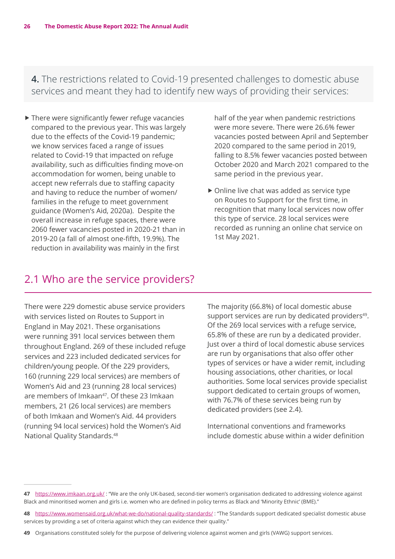<span id="page-25-0"></span>**4.** The restrictions related to Covid-19 presented challenges to domestic abuse services and meant they had to identify new ways of providing their services:

 $\blacktriangleright$  There were significantly fewer refuge vacancies compared to the previous year. This was largely due to the effects of the Covid-19 pandemic; we know services faced a range of issues related to Covid-19 that impacted on refuge availability, such as difficulties finding move-on accommodation for women, being unable to accept new referrals due to staffing capacity and having to reduce the number of women/ families in the refuge to meet government guidance (Women's Aid, 2020a). Despite the overall increase in refuge spaces, there were 2060 fewer vacancies posted in 2020-21 than in 2019-20 (a fall of almost one-fifth, 19.9%). The reduction in availability was mainly in the first

half of the year when pandemic restrictions were more severe. There were 26.6% fewer vacancies posted between April and September 2020 compared to the same period in 2019, falling to 8.5% fewer vacancies posted between October 2020 and March 2021 compared to the same period in the previous year.

 $\triangleright$  Online live chat was added as service type on Routes to Support for the first time, in recognition that many local services now offer this type of service. 28 local services were recorded as running an online chat service on 1st May 2021.

#### 2.1 Who are the service providers?

There were 229 domestic abuse service providers with services listed on Routes to Support in England in May 2021. These organisations were running 391 local services between them throughout England. 269 of these included refuge services and 223 included dedicated services for children/young people. Of the 229 providers, 160 (running 229 local services) are members of Women's Aid and 23 (running 28 local services) are members of Imkaan<sup>47</sup>. Of these 23 Imkaan members, 21 (26 local services) are members of both Imkaan and Women's Aid. 44 providers (running 94 local services) hold the Women's Aid National Quality Standards.<sup>48</sup>

The majority (66.8%) of local domestic abuse support services are run by dedicated providers<sup>49</sup>. Of the 269 local services with a refuge service, 65.8% of these are run by a dedicated provider. Just over a third of local domestic abuse services are run by organisations that also offer other types of services or have a wider remit, including housing associations, other charities, or local authorities. Some local services provide specialist support dedicated to certain groups of women, with 76.7% of these services being run by dedicated providers (see 2.4).

International conventions and frameworks include domestic abuse within a wider definition

**<sup>47</sup>** <https://www.imkaan.org.uk/> : "We are the only UK-based, second-tier women's organisation dedicated to addressing violence against Black and minoritised women and girls i.e. women who are defined in policy terms as Black and 'Minority Ethnic' (BME)."

**<sup>48</sup>** <https://www.womensaid.org.uk/what-we-do/national-quality-standards/> : "The Standards support dedicated specialist domestic abuse services by providing a set of criteria against which they can evidence their quality."

**<sup>49</sup>** Organisations constituted solely for the purpose of delivering violence against women and girls (VAWG) support services.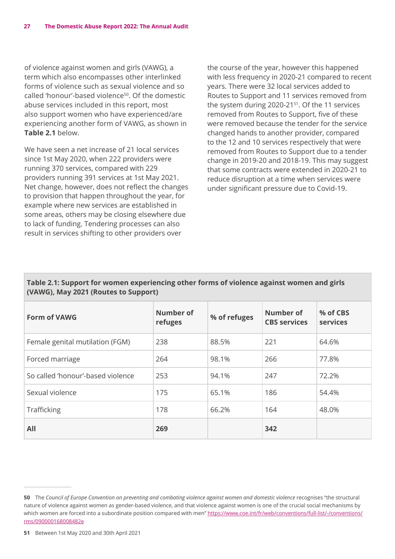of violence against women and girls (VAWG), a term which also encompasses other interlinked forms of violence such as sexual violence and so called 'honour'-based violence50. Of the domestic abuse services included in this report, most also support women who have experienced/are experiencing another form of VAWG, as shown in **Table 2.1** below.

We have seen a net increase of 21 local services since 1st May 2020, when 222 providers were running 370 services, compared with 229 providers running 391 services at 1st May 2021. Net change, however, does not reflect the changes to provision that happen throughout the year, for example where new services are established in some areas, others may be closing elsewhere due to lack of funding. Tendering processes can also result in services shifting to other providers over

the course of the year, however this happened with less frequency in 2020-21 compared to recent years. There were 32 local services added to Routes to Support and 11 services removed from the system during 2020-21<sup>51</sup>. Of the 11 services removed from Routes to Support, five of these were removed because the tender for the service changed hands to another provider, compared to the 12 and 10 services respectively that were removed from Routes to Support due to a tender change in 2019-20 and 2018-19. This may suggest that some contracts were extended in 2020-21 to reduce disruption at a time when services were under significant pressure due to Covid-19.

#### **Table 2.1: Support for women experiencing other forms of violence against women and girls (VAWG), May 2021 (Routes to Support)**

| <b>Form of VAWG</b>               | Number of<br>refuges | % of refuges | Number of<br><b>CBS services</b> | % of CBS<br>services |
|-----------------------------------|----------------------|--------------|----------------------------------|----------------------|
| Female genital mutilation (FGM)   | 238                  | 88.5%        | 221                              | 64.6%                |
| Forced marriage                   | 264                  | 98.1%        | 266                              | 77.8%                |
| So called 'honour'-based violence | 253                  | 94.1%        | 247                              | 72.2%                |
| Sexual violence                   | 175                  | 65.1%        | 186                              | 54.4%                |
| Trafficking                       | 178                  | 66.2%        | 164                              | 48.0%                |
| All                               | 269                  |              | 342                              |                      |

**51** Between 1st May 2020 and 30th April 2021

**<sup>50</sup>** The *Council of Europe Convention on preventing and combating violence against women and domestic violence* recognises "the structural nature of violence against women as gender-based violence, and that violence against women is one of the crucial social mechanisms by which women are forced into a subordinate position compared with men" [https://www.coe.int/fr/web/conventions/full-list/-/conventions/](https://www.coe.int/fr/web/conventions/full-list/-/conventions/rms/090000168008482e) [rms/090000168008482e](https://www.coe.int/fr/web/conventions/full-list/-/conventions/rms/090000168008482e)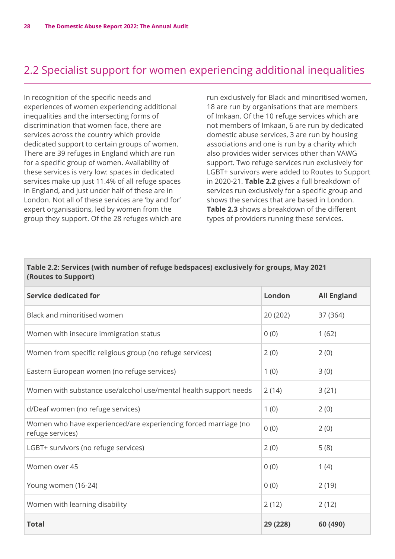## <span id="page-27-0"></span>2.2 Specialist support for women experiencing additional inequalities

In recognition of the specific needs and experiences of women experiencing additional inequalities and the intersecting forms of discrimination that women face, there are services across the country which provide dedicated support to certain groups of women. There are 39 refuges in England which are run for a specific group of women. Availability of these services is very low: spaces in dedicated services make up just 11.4% of all refuge spaces in England, and just under half of these are in London. Not all of these services are 'by and for' expert organisations, led by women from the group they support. Of the 28 refuges which are run exclusively for Black and minoritised women, 18 are run by organisations that are members of Imkaan. Of the 10 refuge services which are not members of Imkaan, 6 are run by dedicated domestic abuse services, 3 are run by housing associations and one is run by a charity which also provides wider services other than VAWG support. Two refuge services run exclusively for LGBT+ survivors were added to Routes to Support in 2020-21. **Table 2.2** gives a full breakdown of services run exclusively for a specific group and shows the services that are based in London. **Table 2.3** shows a breakdown of the different types of providers running these services.

| Table 2.2: Services (with number of refuge bedspaces) exclusively for groups, May 2021<br>(Routes to Support) |          |                    |  |
|---------------------------------------------------------------------------------------------------------------|----------|--------------------|--|
| <b>Service dedicated for</b>                                                                                  | London   | <b>All England</b> |  |
| Black and minoritised women                                                                                   | 20 (202) | 37 (364)           |  |
| Women with insecure immigration status                                                                        | 0(0)     | 1(62)              |  |
| Women from specific religious group (no refuge services)                                                      | 2(0)     | 2(0)               |  |
| Eastern European women (no refuge services)                                                                   | 1(0)     | 3(0)               |  |
| Women with substance use/alcohol use/mental health support needs                                              | 2(14)    | 3(21)              |  |
| d/Deaf women (no refuge services)                                                                             | 1(0)     | 2(0)               |  |
| Women who have experienced/are experiencing forced marriage (no<br>refuge services)                           | 0(0)     | 2(0)               |  |
| LGBT+ survivors (no refuge services)                                                                          | 2(0)     | 5(8)               |  |
| Women over 45                                                                                                 | 0(0)     | 1(4)               |  |
| Young women (16-24)                                                                                           | 0(0)     | 2(19)              |  |
| Women with learning disability                                                                                | 2(12)    | 2(12)              |  |
| <b>Total</b>                                                                                                  | 29 (228) | 60 (490)           |  |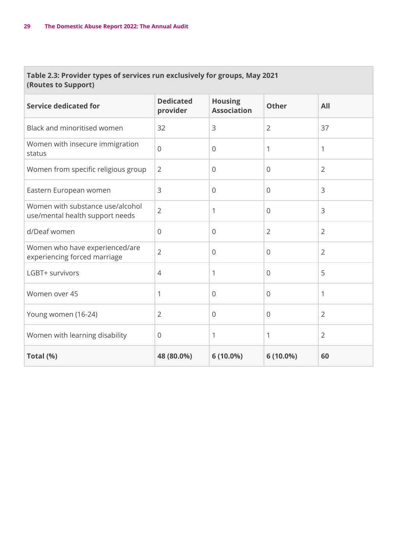#### **Table 2.3: Provider types of services run exclusively for groups, May 2021 (Routes to Support)**

| <b>Service dedicated for</b>                                        | <b>Dedicated</b><br>provider | <b>Housing</b><br><b>Association</b> | <b>Other</b>   | All            |
|---------------------------------------------------------------------|------------------------------|--------------------------------------|----------------|----------------|
| Black and minoritised women                                         | 32                           | 3                                    | $\overline{2}$ | 37             |
| Women with insecure immigration<br>status                           | $\overline{0}$               | $\Omega$                             | 1              | 1              |
| Women from specific religious group                                 | $\overline{2}$               | $\mathbf 0$                          | $\mathbf 0$    | $\overline{2}$ |
| Eastern European women                                              | 3                            | $\overline{0}$                       | $\overline{0}$ | 3              |
| Women with substance use/alcohol<br>use/mental health support needs | $\overline{2}$               | 1                                    | $\mathbf{0}$   | 3              |
| d/Deaf women                                                        | $\overline{0}$               | $\overline{0}$                       | $\overline{2}$ | $\overline{2}$ |
| Women who have experienced/are<br>experiencing forced marriage      | $\overline{2}$               | $\overline{0}$                       | $\overline{0}$ | $\overline{2}$ |
| LGBT+ survivors                                                     | $\overline{4}$               | 1                                    | $\overline{0}$ | 5              |
| Women over 45                                                       | 1                            | $\overline{0}$                       | $\overline{0}$ | 1              |
| Young women (16-24)                                                 | $\overline{2}$               | $\overline{0}$                       | $\mathbf 0$    | $\overline{2}$ |
| Women with learning disability                                      | $\mathbf 0$                  | 1                                    | 1              | $\overline{2}$ |
| Total (%)                                                           | 48 (80.0%)                   | 6 (10.0%)                            | 6 (10.0%)      | 60             |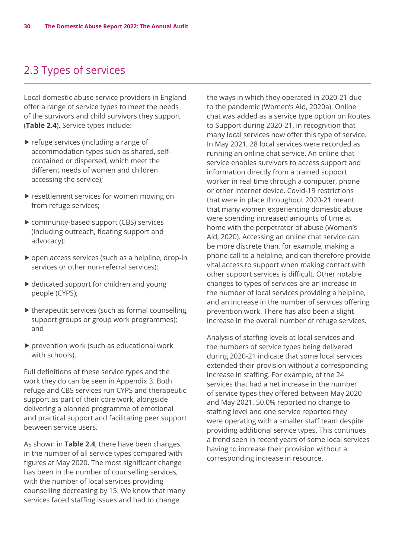## <span id="page-29-0"></span>2.3 Types of services

Local domestic abuse service providers in England offer a range of service types to meet the needs of the survivors and child survivors they support (**Table 2.4**). Service types include:

- $\blacktriangleright$  refuge services (including a range of accommodation types such as shared, selfcontained or dispersed, which meet the different needs of women and children accessing the service);
- $\blacktriangleright$  resettlement services for women moving on from refuge services;
- $\triangleright$  community-based support (CBS) services (including outreach, floating support and advocacy);
- $\triangleright$  open access services (such as a helpline, drop-in services or other non-referral services);
- $\blacktriangleright$  dedicated support for children and young people (CYPS);
- $\blacktriangleright$  therapeutic services (such as formal counselling, support groups or group work programmes); and
- $\blacktriangleright$  prevention work (such as educational work with schools).

Full definitions of these service types and the work they do can be seen in Appendix 3. Both refuge and CBS services run CYPS and therapeutic support as part of their core work, alongside delivering a planned programme of emotional and practical support and facilitating peer support between service users.

As shown in **Table 2.4**, there have been changes in the number of all service types compared with figures at May 2020. The most significant change has been in the number of counselling services, with the number of local services providing counselling decreasing by 15. We know that many services faced staffing issues and had to change

the ways in which they operated in 2020-21 due to the pandemic (Women's Aid, 2020a). Online chat was added as a service type option on Routes to Support during 2020-21, in recognition that many local services now offer this type of service. In May 2021, 28 local services were recorded as running an online chat service. An online chat service enables survivors to access support and information directly from a trained support worker in real time through a computer, phone or other internet device. Covid-19 restrictions that were in place throughout 2020-21 meant that many women experiencing domestic abuse were spending increased amounts of time at home with the perpetrator of abuse (Women's Aid, 2020). Accessing an online chat service can be more discrete than, for example, making a phone call to a helpline, and can therefore provide vital access to support when making contact with other support services is difficult. Other notable changes to types of services are an increase in the number of local services providing a helpline, and an increase in the number of services offering prevention work. There has also been a slight increase in the overall number of refuge services.

Analysis of staffing levels at local services and the numbers of service types being delivered during 2020-21 indicate that some local services extended their provision without a corresponding increase in staffing. For example, of the 24 services that had a net increase in the number of service types they offered between May 2020 and May 2021, 50.0% reported no change to staffing level and one service reported they were operating with a smaller staff team despite providing additional service types. This continues a trend seen in recent years of some local services having to increase their provision without a corresponding increase in resource.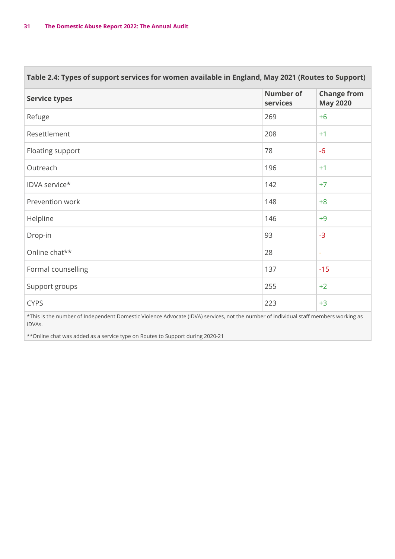| Table 2.4: Types of support services for women available in England, May 2021 (Routes to Support)                                   |                              |                                       |  |
|-------------------------------------------------------------------------------------------------------------------------------------|------------------------------|---------------------------------------|--|
| <b>Service types</b>                                                                                                                | <b>Number of</b><br>services | <b>Change from</b><br><b>May 2020</b> |  |
| Refuge                                                                                                                              | 269                          | $+6$                                  |  |
| Resettlement                                                                                                                        | 208                          | $+1$                                  |  |
| Floating support                                                                                                                    | 78                           | $-6$                                  |  |
| Outreach                                                                                                                            | 196                          | $+1$                                  |  |
| IDVA service*                                                                                                                       | 142                          | $+7$                                  |  |
| Prevention work                                                                                                                     | 148                          | $+8$                                  |  |
| Helpline                                                                                                                            | 146                          | $+9$                                  |  |
| Drop-in                                                                                                                             | 93                           | $-3$                                  |  |
| Online chat**                                                                                                                       | 28                           | $\overline{\phantom{a}}$              |  |
| Formal counselling                                                                                                                  | 137                          | $-15$                                 |  |
| Support groups                                                                                                                      | 255                          | $+2$                                  |  |
| <b>CYPS</b>                                                                                                                         | 223                          | $+3$                                  |  |
| *This is the number of Independent Domestic Violence Advocate (IDVA) services not the number of individual staff members working as |                              |                                       |  |

he number of Independent Domestic Violence Advocate (IDVA) services, not the number of individual staff members working and the number of individual staff members working as an experience the members working as a service a IDVAs.

\*\*Online chat was added as a service type on Routes to Support during 2020-21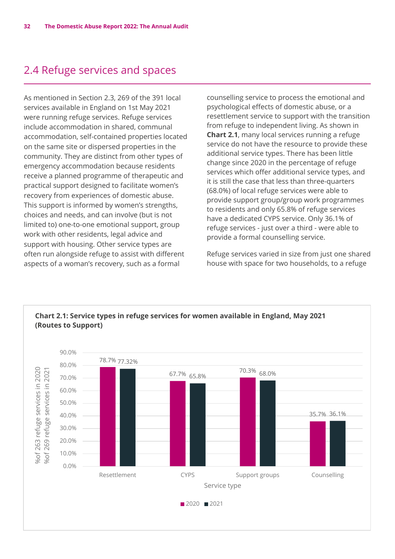## <span id="page-31-0"></span>2.4 Refuge services and spaces

As mentioned in Section 2.3, 269 of the 391 local services available in England on 1st May 2021 were running refuge services. Refuge services include accommodation in shared, communal accommodation, self-contained properties located on the same site or dispersed properties in the community. They are distinct from other types of emergency accommodation because residents receive a planned programme of therapeutic and practical support designed to facilitate women's recovery from experiences of domestic abuse. This support is informed by women's strengths, choices and needs, and can involve (but is not limited to) one-to-one emotional support, group work with other residents, legal advice and support with housing. Other service types are often run alongside refuge to assist with different aspects of a woman's recovery, such as a formal

counselling service to process the emotional and psychological effects of domestic abuse, or a resettlement service to support with the transition from refuge to independent living. As shown in **Chart 2.1**, many local services running a refuge service do not have the resource to provide these additional service types. There has been little change since 2020 in the percentage of refuge services which offer additional service types, and it is still the case that less than three-quarters (68.0%) of local refuge services were able to provide support group/group work programmes to residents and only 65.8% of refuge services have a dedicated CYPS service. Only 36.1% of refuge services - just over a third - were able to provide a formal counselling service.

Refuge services varied in size from just one shared house with space for two households, to a refuge

![](_page_31_Figure_5.jpeg)

#### **Chart 2.1: Service types in refuge services for women available in England, May 2021 (Routes to Support)**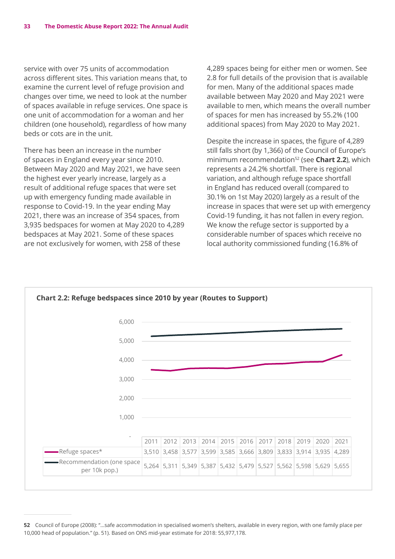service with over 75 units of accommodation across different sites. This variation means that, to act 033 anterent sites. This variation means that, to<br>examine the current level of refuge provision and changes over time, we need to look at the number 70.0% of spaces available in refuge services. One space is one unit of accommodation for a woman and her children (one household), regardless of how many 50.0% beds or cots are in the unit. ccccck TcEt na<br>f s<br>ne 11<br>ed<br>f s<br>et<br>ne

There has been an increase in the number of spaces in England every year since 2010. Between May 2020 and May 2021, we have seen the highest ever yearly increase, largely as a result of additional refuge spaces that were set up with emergency funding made available in response to Covid-19. In the year ending May 2021, there was an increase of 354 spaces, from 3,935 bedspaces for women at May 2020 to 4,289 2020 2021 bedspaces at May 2021. Some of these spaces are not exclusively for women, with 258 of these

4,289 spaces being for either men or women. See 2.8 for full details of the provision that is available for men. Many of the additional spaces made enumber available between May 2020 and May 2021 were available to men, which means the overall number of spaces for men has increased by 55.2% (100 additional spaces) from May 2020 to May 2021.

Despite the increase in spaces, the figure of 4,289 still falls short (by 1,366) of the Council of Europe's minimum recommendation<sup>52</sup> (see **Chart 2.2**), which represents a 24.2% shortfall. There is regional variation, and although refuge space shortfall in England has reduced overall (compared to 30.1% on 1st May 2020) largely as a result of the Resettlement CYPS Support groups Counselling increase in spaces that were set up with emergency Covid-19 funding, it has not fallen in every region. We know the refuge sector is supported by a considerable number of spaces which receive no local authority commissioned funding (16.8% of

![](_page_32_Figure_5.jpeg)

**<sup>52</sup>** Council of Europe (2008): "…safe accommodation in specialised women's shelters, available in every region, with one family place per 10,000 head of population." (p. 51). Based on ONS mid-year estimate for 2018: 55,977,178.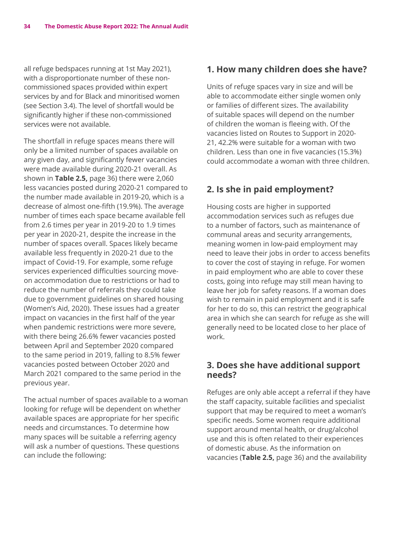all refuge bedspaces running at 1st May 2021), with a disproportionate number of these noncommissioned spaces provided within expert services by and for Black and minoritised women (see Section 3.4). The level of shortfall would be significantly higher if these non-commissioned services were not available.

The shortfall in refuge spaces means there will only be a limited number of spaces available on any given day, and significantly fewer vacancies were made available during 2020-21 overall. As shown in **Table 2.5,** page 36) there were 2,060 less vacancies posted during 2020-21 compared to the number made available in 2019-20, which is a decrease of almost one-fifth (19.9%). The average number of times each space became available fell from 2.6 times per year in 2019-20 to 1.9 times per year in 2020-21, despite the increase in the number of spaces overall. Spaces likely became available less frequently in 2020-21 due to the impact of Covid-19. For example, some refuge services experienced difficulties sourcing moveon accommodation due to restrictions or had to reduce the number of referrals they could take due to government guidelines on shared housing (Women's Aid, 2020). These issues had a greater impact on vacancies in the first half of the year when pandemic restrictions were more severe, with there being 26.6% fewer vacancies posted between April and September 2020 compared to the same period in 2019, falling to 8.5% fewer vacancies posted between October 2020 and March 2021 compared to the same period in the previous year.

The actual number of spaces available to a woman looking for refuge will be dependent on whether available spaces are appropriate for her specific needs and circumstances. To determine how many spaces will be suitable a referring agency will ask a number of questions. These questions can include the following:

#### **1. How many children does she have?**

Units of refuge spaces vary in size and will be able to accommodate either single women only or families of different sizes. The availability of suitable spaces will depend on the number of children the woman is fleeing with. Of the vacancies listed on Routes to Support in 2020- 21, 42.2% were suitable for a woman with two children. Less than one in five vacancies (15.3%) could accommodate a woman with three children.

#### **2. Is she in paid employment?**

Housing costs are higher in supported accommodation services such as refuges due to a number of factors, such as maintenance of communal areas and security arrangements, meaning women in low-paid employment may need to leave their jobs in order to access benefits to cover the cost of staying in refuge. For women in paid employment who are able to cover these costs, going into refuge may still mean having to leave her job for safety reasons. If a woman does wish to remain in paid employment and it is safe for her to do so, this can restrict the geographical area in which she can search for refuge as she will generally need to be located close to her place of work.

#### **3. Does she have additional support needs?**

Refuges are only able accept a referral if they have the staff capacity, suitable facilities and specialist support that may be required to meet a woman's specific needs. Some women require additional support around mental health, or drug/alcohol use and this is often related to their experiences of domestic abuse. As the information on vacancies (**Table 2.5,** page 36) and the availability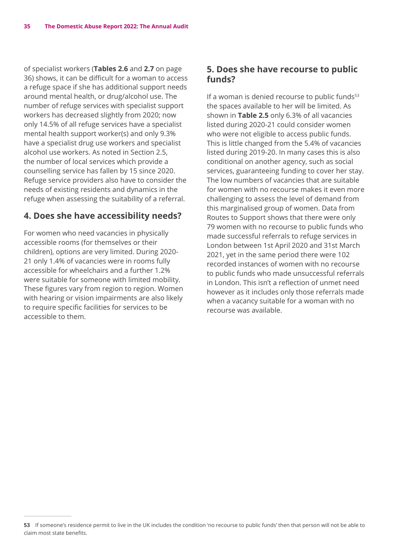of specialist workers (**Tables 2.6** and **2.7** on page 36) shows, it can be difficult for a woman to access a refuge space if she has additional support needs around mental health, or drug/alcohol use. The number of refuge services with specialist support workers has decreased slightly from 2020; now only 14.5% of all refuge services have a specialist mental health support worker(s) and only 9.3% have a specialist drug use workers and specialist alcohol use workers. As noted in Section 2.5, the number of local services which provide a counselling service has fallen by 15 since 2020. Refuge service providers also have to consider the needs of existing residents and dynamics in the refuge when assessing the suitability of a referral.

#### **4. Does she have accessibility needs?**

For women who need vacancies in physically accessible rooms (for themselves or their children), options are very limited. During 2020- 21 only 1.4% of vacancies were in rooms fully accessible for wheelchairs and a further 1.2% were suitable for someone with limited mobility. These figures vary from region to region. Women with hearing or vision impairments are also likely to require specific facilities for services to be accessible to them.

#### **5. Does she have recourse to public funds?**

If a woman is denied recourse to public funds $53$ the spaces available to her will be limited. As shown in **Table 2.5** only 6.3% of all vacancies listed during 2020-21 could consider women who were not eligible to access public funds. This is little changed from the 5.4% of vacancies listed during 2019-20. In many cases this is also conditional on another agency, such as social services, guaranteeing funding to cover her stay. The low numbers of vacancies that are suitable for women with no recourse makes it even more challenging to assess the level of demand from this marginalised group of women. Data from Routes to Support shows that there were only 79 women with no recourse to public funds who made successful referrals to refuge services in London between 1st April 2020 and 31st March 2021, yet in the same period there were 102 recorded instances of women with no recourse to public funds who made unsuccessful referrals in London. This isn't a reflection of unmet need however as it includes only those referrals made when a vacancy suitable for a woman with no recourse was available.

**<sup>53</sup>** If someone's residence permit to live in the UK includes the condition 'no recourse to public funds' then that person will not be able to claim most state benefits.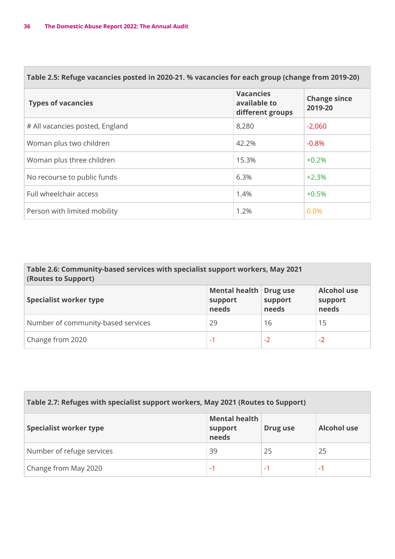| Table 2.5: Refuge vacancies posted in 2020-21. % vacancies for each group (change from 2019-20) |                                                      |                                |  |
|-------------------------------------------------------------------------------------------------|------------------------------------------------------|--------------------------------|--|
| <b>Types of vacancies</b>                                                                       | <b>Vacancies</b><br>available to<br>different groups | <b>Change since</b><br>2019-20 |  |
| # All vacancies posted, England                                                                 | 8,280                                                | $-2,060$                       |  |
| Woman plus two children                                                                         | 42.2%                                                | $-0.8%$                        |  |
| Woman plus three children                                                                       | 15.3%                                                | $+0.2%$                        |  |
| No recourse to public funds                                                                     | 6.3%                                                 | $+2.3%$                        |  |
| Full wheelchair access                                                                          | 1.4%                                                 | $+0.5%$                        |  |
| Person with limited mobility                                                                    | 1.2%                                                 | 0.0%                           |  |

#### **Table 2.6: Community-based services with specialist support workers, May 2021 (Routes to Support)**

| <b>Specialist worker type</b>      | Mental health Drug use<br>support<br>needs | support<br>needs | <b>Alcohol use</b><br>support<br>needs |
|------------------------------------|--------------------------------------------|------------------|----------------------------------------|
| Number of community-based services | 29                                         | 16               | 15                                     |
| Change from 2020                   | $-1$                                       | $-2$             | $-2$                                   |

| Table 2.7: Refuges with specialist support workers, May 2021 (Routes to Support) |                                          |          |                    |
|----------------------------------------------------------------------------------|------------------------------------------|----------|--------------------|
| Specialist worker type                                                           | <b>Mental health</b><br>support<br>needs | Drug use | <b>Alcohol use</b> |
| Number of refuge services                                                        | 39                                       | 25       | 25                 |
| Change from May 2020                                                             | -1                                       | ٠        | - 1                |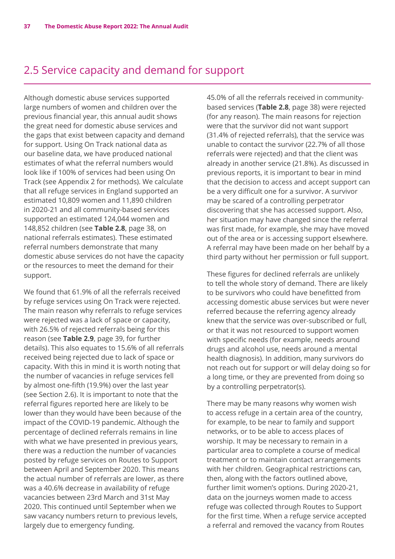# 2.5 Service capacity and demand for support

Although domestic abuse services supported large numbers of women and children over the previous financial year, this annual audit shows the great need for domestic abuse services and the gaps that exist between capacity and demand for support. Using On Track national data as our baseline data, we have produced national estimates of what the referral numbers would look like if 100% of services had been using On Track (see Appendix 2 for methods). We calculate that all refuge services in England supported an estimated 10,809 women and 11,890 children in 2020-21 and all community-based services supported an estimated 124,044 women and 148,852 children (see **Table 2.8**, page 38, on national referrals estimates). These estimated referral numbers demonstrate that many domestic abuse services do not have the capacity or the resources to meet the demand for their support.

We found that 61.9% of all the referrals received by refuge services using On Track were rejected. The main reason why referrals to refuge services were rejected was a lack of space or capacity, with 26.5% of rejected referrals being for this reason (see **Table 2.9**, page 39, for further details). This also equates to 15.6% of all referrals received being rejected due to lack of space or capacity. With this in mind it is worth noting that the number of vacancies in refuge services fell by almost one-fifth (19.9%) over the last year (see Section 2.6). It is important to note that the referral figures reported here are likely to be lower than they would have been because of the impact of the COVID-19 pandemic. Although the percentage of declined referrals remains in line with what we have presented in previous years, there was a reduction the number of vacancies posted by refuge services on Routes to Support between April and September 2020. This means the actual number of referrals are lower, as there was a 40.6% decrease in availability of refuge vacancies between 23rd March and 31st May 2020. This continued until September when we saw vacancy numbers return to previous levels, largely due to emergency funding.

45.0% of all the referrals received in communitybased services (**Table 2.8**, page 38) were rejected (for any reason). The main reasons for rejection were that the survivor did not want support (31.4% of rejected referrals), that the service was unable to contact the survivor (22.7% of all those referrals were rejected) and that the client was already in another service (21.8%). As discussed in previous reports, it is important to bear in mind that the decision to access and accept support can be a very difficult one for a survivor. A survivor may be scared of a controlling perpetrator discovering that she has accessed support. Also, her situation may have changed since the referral was first made, for example, she may have moved out of the area or is accessing support elsewhere. A referral may have been made on her behalf by a third party without her permission or full support.

These figures for declined referrals are unlikely to tell the whole story of demand. There are likely to be survivors who could have benefitted from accessing domestic abuse services but were never referred because the referring agency already knew that the service was over-subscribed or full, or that it was not resourced to support women with specific needs (for example, needs around drugs and alcohol use, needs around a mental health diagnosis). In addition, many survivors do not reach out for support or will delay doing so for a long time, or they are prevented from doing so by a controlling perpetrator(s).

There may be many reasons why women wish to access refuge in a certain area of the country, for example, to be near to family and support networks, or to be able to access places of worship. It may be necessary to remain in a particular area to complete a course of medical treatment or to maintain contact arrangements with her children. Geographical restrictions can, then, along with the factors outlined above, further limit women's options. During 2020-21, data on the journeys women made to access refuge was collected through Routes to Support for the first time. When a refuge service accepted a referral and removed the vacancy from Routes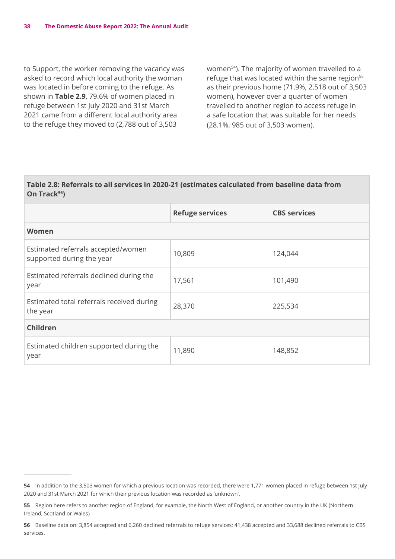to Support, the worker removing the vacancy was asked to record which local authority the woman was located in before coming to the refuge. As shown in **Table 2.9**, 79.6% of women placed in refuge between 1st July 2020 and 31st March 2021 came from a different local authority area to the refuge they moved to (2,788 out of 3,503

women<sup>54</sup>). The majority of women travelled to a refuge that was located within the same region<sup>55</sup> as their previous home (71.9%, 2,518 out of 3,503 women), however over a quarter of women travelled to another region to access refuge in a safe location that was suitable for her needs (28.1%, 985 out of 3,503 women).

#### **Table 2.8: Referrals to all services in 2020-21 (estimates calculated from baseline data from**  On Track<sup>56</sup>)

|                                                                 | <b>Refuge services</b> | <b>CBS services</b> |
|-----------------------------------------------------------------|------------------------|---------------------|
| Women                                                           |                        |                     |
| Estimated referrals accepted/women<br>supported during the year | 10,809                 | 124,044             |
| Estimated referrals declined during the<br>year                 | 17,561                 | 101,490             |
| Estimated total referrals received during<br>the year           | 28,370                 | 225,534             |
| Children                                                        |                        |                     |
| Estimated children supported during the<br>year                 | 11,890                 | 148,852             |

**<sup>54</sup>** In addition to the 3,503 women for which a previous location was recorded, there were 1,771 women placed in refuge between 1st July 2020 and 31st March 2021 for which their previous location was recorded as 'unknown'.

**<sup>55</sup>** Region here refers to another region of England, for example, the North West of England, or another country in the UK (Northern Ireland, Scotland or Wales)

**<sup>56</sup>** Baseline data on: 3,854 accepted and 6,260 declined referrals to refuge services; 41,438 accepted and 33,688 declined referrals to CBS services.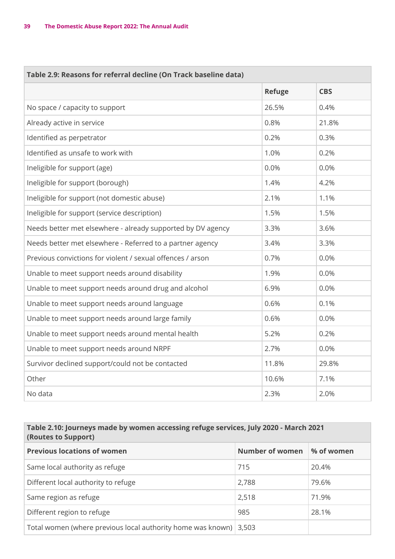п

| Table 2.9: Reasons for referral decline (On Track baseline data) |               |            |
|------------------------------------------------------------------|---------------|------------|
|                                                                  | <b>Refuge</b> | <b>CBS</b> |
| No space / capacity to support                                   | 26.5%         | 0.4%       |
| Already active in service                                        | 0.8%          | 21.8%      |
| Identified as perpetrator                                        | 0.2%          | 0.3%       |
| Identified as unsafe to work with                                | 1.0%          | 0.2%       |
| Ineligible for support (age)                                     | 0.0%          | 0.0%       |
| Ineligible for support (borough)                                 | 1.4%          | 4.2%       |
| Ineligible for support (not domestic abuse)                      | 2.1%          | 1.1%       |
| Ineligible for support (service description)                     | 1.5%          | 1.5%       |
| Needs better met elsewhere - already supported by DV agency      | 3.3%          | 3.6%       |
| Needs better met elsewhere - Referred to a partner agency        | 3.4%          | 3.3%       |
| Previous convictions for violent / sexual offences / arson       | 0.7%          | 0.0%       |
| Unable to meet support needs around disability                   | 1.9%          | 0.0%       |
| Unable to meet support needs around drug and alcohol             | 6.9%          | 0.0%       |
| Unable to meet support needs around language                     | 0.6%          | 0.1%       |
| Unable to meet support needs around large family                 | 0.6%          | 0.0%       |
| Unable to meet support needs around mental health                | 5.2%          | 0.2%       |
| Unable to meet support needs around NRPF                         | 2.7%          | 0.0%       |
| Survivor declined support/could not be contacted                 | 11.8%         | 29.8%      |
| Other                                                            | 10.6%         | 7.1%       |
| No data                                                          | 2.3%          | 2.0%       |

### **Table 2.10: Journeys made by women accessing refuge services, July 2020 - March 2021 (Routes to Support)**

| <b>Previous locations of women</b>                          | Number of women | % of women |
|-------------------------------------------------------------|-----------------|------------|
| Same local authority as refuge                              | 715             | 20.4%      |
| Different local authority to refuge                         | 2,788           | 79.6%      |
| Same region as refuge                                       | 2,518           | 71.9%      |
| Different region to refuge                                  | 985             | 28.1%      |
| Total women (where previous local authority home was known) | 3,503           |            |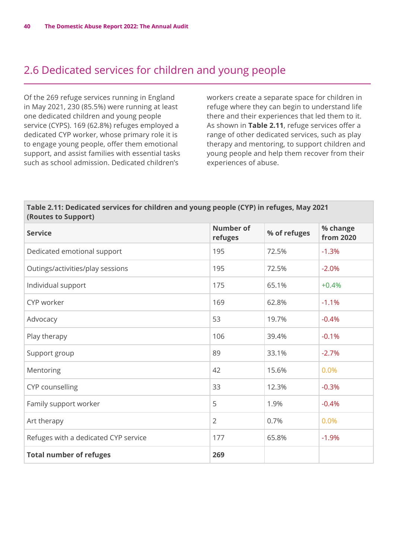# 2.6 Dedicated services for children and young people

Of the 269 refuge services running in England in May 2021, 230 (85.5%) were running at least one dedicated children and young people service (CYPS). 169 (62.8%) refuges employed a dedicated CYP worker, whose primary role it is to engage young people, offer them emotional support, and assist families with essential tasks such as school admission. Dedicated children's

workers create a separate space for children in refuge where they can begin to understand life there and their experiences that led them to it. As shown in **Table 2.11**, refuge services offer a range of other dedicated services, such as play therapy and mentoring, to support children and young people and help them recover from their experiences of abuse.

#### **Table 2.11: Dedicated services for children and young people (CYP) in refuges, May 2021 (Routes to Support)**

| <b>Service</b>                       | <b>Number of</b><br>refuges | % of refuges | % change<br><b>from 2020</b> |
|--------------------------------------|-----------------------------|--------------|------------------------------|
| Dedicated emotional support          | 195                         | 72.5%        | $-1.3%$                      |
| Outings/activities/play sessions     | 195                         | 72.5%        | $-2.0%$                      |
| Individual support                   | 175                         | 65.1%        | $+0.4%$                      |
| CYP worker                           | 169                         | 62.8%        | $-1.1%$                      |
| Advocacy                             | 53                          | 19.7%        | $-0.4%$                      |
| Play therapy                         | 106                         | 39.4%        | $-0.1%$                      |
| Support group                        | 89                          | 33.1%        | $-2.7%$                      |
| Mentoring                            | 42                          | 15.6%        | 0.0%                         |
| CYP counselling                      | 33                          | 12.3%        | $-0.3%$                      |
| Family support worker                | 5                           | 1.9%         | $-0.4%$                      |
| Art therapy                          | $\overline{2}$              | 0.7%         | 0.0%                         |
| Refuges with a dedicated CYP service | 177                         | 65.8%        | $-1.9%$                      |
| <b>Total number of refuges</b>       | 269                         |              |                              |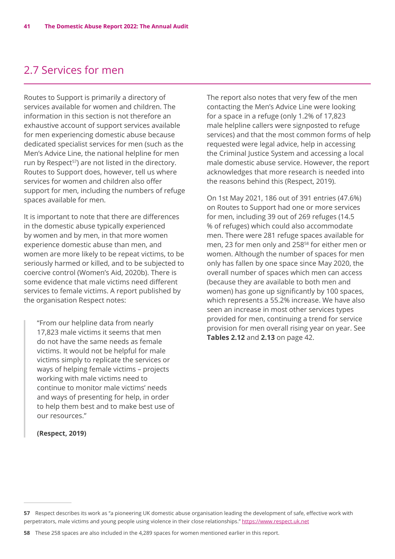# 2.7 Services for men

Routes to Support is primarily a directory of services available for women and children. The information in this section is not therefore an exhaustive account of support services available for men experiencing domestic abuse because dedicated specialist services for men (such as the Men's Advice Line, the national helpline for men run by Respect<sup>57</sup>) are not listed in the directory. Routes to Support does, however, tell us where services for women and children also offer support for men, including the numbers of refuge spaces available for men.

It is important to note that there are differences in the domestic abuse typically experienced by women and by men, in that more women experience domestic abuse than men, and women are more likely to be repeat victims, to be seriously harmed or killed, and to be subjected to coercive control (Women's Aid, 2020b). There is some evidence that male victims need different services to female victims. A report published by the organisation Respect notes:

"From our helpline data from nearly 17,823 male victims it seems that men do not have the same needs as female victims. It would not be helpful for male victims simply to replicate the services or ways of helping female victims – projects working with male victims need to continue to monitor male victims' needs and ways of presenting for help, in order to help them best and to make best use of our resources."

#### **(Respect, 2019)**

The report also notes that very few of the men contacting the Men's Advice Line were looking for a space in a refuge (only 1.2% of 17,823 male helpline callers were signposted to refuge services) and that the most common forms of help requested were legal advice, help in accessing the Criminal Justice System and accessing a local male domestic abuse service. However, the report acknowledges that more research is needed into the reasons behind this (Respect, 2019).

On 1st May 2021, 186 out of 391 entries (47.6%) on Routes to Support had one or more services for men, including 39 out of 269 refuges (14.5 % of refuges) which could also accommodate men. There were 281 refuge spaces available for men, 23 for men only and 25858 for either men or women. Although the number of spaces for men only has fallen by one space since May 2020, the overall number of spaces which men can access (because they are available to both men and women) has gone up significantly by 100 spaces, which represents a 55.2% increase. We have also seen an increase in most other services types provided for men, continuing a trend for service provision for men overall rising year on year. See **Tables 2.12** and **2.13** on page 42.

**<sup>57</sup>** Respect describes its work as "a pioneering UK domestic abuse organisation leading the development of safe, effective work with perpetrators, male victims and young people using violence in their close relationships." <https://www.respect.uk.net>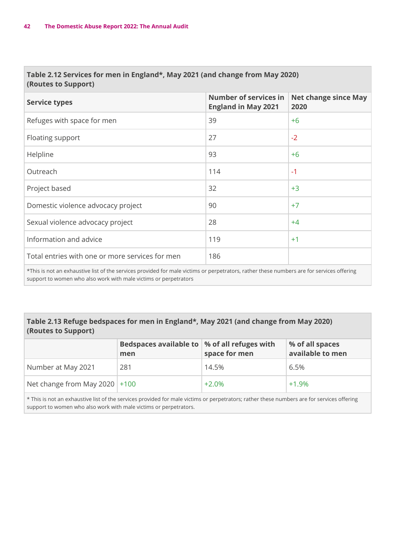#### **Table 2.12 Services for men in England\*, May 2021 (and change from May 2020) (Routes to Support)**

| <b>Service types</b>                                                                                                                      | <b>Number of services in</b><br><b>England in May 2021</b> | <b>Net change since May</b><br>2020 |  |
|-------------------------------------------------------------------------------------------------------------------------------------------|------------------------------------------------------------|-------------------------------------|--|
| Refuges with space for men                                                                                                                | 39                                                         | $+6$                                |  |
| Floating support                                                                                                                          | 27                                                         | $-2$                                |  |
| Helpline                                                                                                                                  | 93                                                         | $+6$                                |  |
| Outreach                                                                                                                                  | 114                                                        | $-1$                                |  |
| Project based                                                                                                                             | 32                                                         | $+3$                                |  |
| Domestic violence advocacy project                                                                                                        | 90                                                         | $+7$                                |  |
| Sexual violence advocacy project                                                                                                          | 28                                                         | $+4$                                |  |
| Information and advice                                                                                                                    | 119                                                        | $+1$                                |  |
| Total entries with one or more services for men                                                                                           | 186                                                        |                                     |  |
| *This is not an exhaustive list of the services provided for male victims or perpetrators, rather these numbers are for services offering |                                                            |                                     |  |

\*This is not an exhaustive list of the services provided for male victims or perpetrators, rather these numbers are for services offering support to women who also work with male victims or perpetrators

#### **Table 2.13 Refuge bedspaces for men in England\*, May 2021 (and change from May 2020) (Routes to Support)**

|                                 | Bedspaces available to   % of all refuges with<br>men | space for men | % of all spaces<br>available to men |
|---------------------------------|-------------------------------------------------------|---------------|-------------------------------------|
| Number at May 2021              | 281                                                   | 14.5%         | 6.5%                                |
| Net change from May 2020 $+100$ |                                                       | $+2.0%$       | $+1.9%$                             |

\* This is not an exhaustive list of the services provided for male victims or perpetrators; rather these numbers are for services offering support to women who also work with male victims or perpetrators.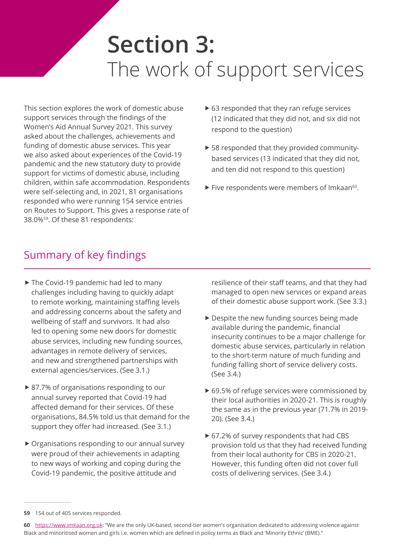# **Section 3:**  The work of support services

This section explores the work of domestic abuse support services through the findings of the Women's Aid Annual Survey 2021. This survey asked about the challenges, achievements and funding of domestic abuse services. This year we also asked about experiences of the Covid-19 pandemic and the new statutory duty to provide support for victims of domestic abuse, including children, within safe accommodation. Respondents were self-selecting and, in 2021, 81 organisations responded who were running 154 service entries on Routes to Support. This gives a response rate of 38.0%59. Of these 81 respondents:

- $\triangleright$  63 responded that they ran refuge services (12 indicated that they did not, and six did not respond to the question)
- $\triangleright$  58 responded that they provided communitybased services (13 indicated that they did not, and ten did not respond to this question)
- $\blacktriangleright$  Five respondents were members of Imkaan<sup>60</sup>.

# Summary of key findings

- $\blacktriangleright$  The Covid-19 pandemic had led to many challenges including having to quickly adapt to remote working, maintaining staffing levels and addressing concerns about the safety and wellbeing of staff and survivors. It had also led to opening some new doors for domestic abuse services, including new funding sources, advantages in remote delivery of services, and new and strengthened partnerships with external agencies/services. (See 3.1.)
- ▶ 87.7% of organisations responding to our annual survey reported that Covid-19 had affected demand for their services. Of these organisations, 84.5% told us that demand for the support they offer had increased. (See 3.1.)
- $\triangleright$  Organisations responding to our annual survey were proud of their achievements in adapting to new ways of working and coping during the Covid-19 pandemic, the positive attitude and

resilience of their staff teams, and that they had managed to open new services or expand areas of their domestic abuse support work. (See 3.3.)

- $\blacktriangleright$  Despite the new funding sources being made available during the pandemic, financial insecurity continues to be a major challenge for domestic abuse services, particularly in relation to the short-term nature of much funding and funding falling short of service delivery costs. (See 3.4.)
- $\triangleright$  69.5% of refuge services were commissioned by their local authorities in 2020-21. This is roughly the same as in the previous year (71.7% in 2019- 20). (See 3.4.)
- $\triangleright$  67.2% of survey respondents that had CBS provision told us that they had received funding from their local authority for CBS in 2020-21. However, this funding often did not cover full costs of delivering services. (See 3.4.)

**<sup>59</sup>** 154 out of 405 services responded.

**<sup>60</sup>** [https://www.imkaan.org.uk:](https://www.imkaan.org.uk) "We are the only UK-based, second-tier women's organisation dedicated to addressing violence against Black and minoritised women and girls i.e. women which are defined in policy terms as Black and 'Minority Ethnic' (BME)."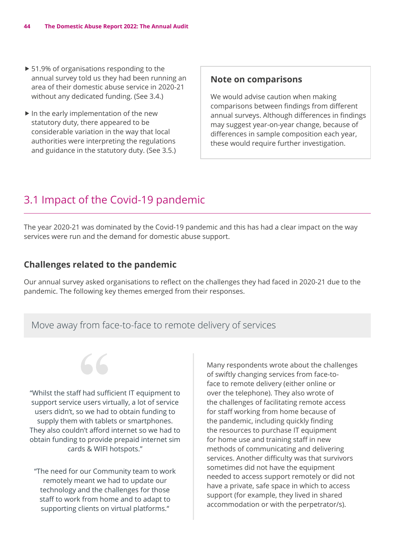- $\blacktriangleright$  51.9% of organisations responding to the annual survey told us they had been running an area of their domestic abuse service in 2020-21 without any dedicated funding. (See 3.4.)
- $\blacktriangleright$  In the early implementation of the new statutory duty, there appeared to be considerable variation in the way that local authorities were interpreting the regulations and guidance in the statutory duty. (See 3.5.)

### **Note on comparisons**

We would advise caution when making comparisons between findings from different annual surveys. Although differences in findings may suggest year-on-year change, because of differences in sample composition each year, these would require further investigation.

# 3.1 Impact of the Covid-19 pandemic

The year 2020-21 was dominated by the Covid-19 pandemic and this has had a clear impact on the way services were run and the demand for domestic abuse support.

### **Challenges related to the pandemic**

Our annual survey asked organisations to reflect on the challenges they had faced in 2020-21 due to the pandemic. The following key themes emerged from their responses.

# Move away from face-to-face to remote delivery of services



"Whilst the staff had sufficient IT equipment to support service users virtually, a lot of service users didn't, so we had to obtain funding to supply them with tablets or smartphones. They also couldn't afford internet so we had to obtain funding to provide prepaid internet sim cards & WIFI hotspots."

"The need for our Community team to work remotely meant we had to update our technology and the challenges for those staff to work from home and to adapt to supporting clients on virtual platforms."

Many respondents wrote about the challenges of swiftly changing services from face-toface to remote delivery (either online or over the telephone). They also wrote of the challenges of facilitating remote access for staff working from home because of the pandemic, including quickly finding the resources to purchase IT equipment for home use and training staff in new methods of communicating and delivering services. Another difficulty was that survivors sometimes did not have the equipment needed to access support remotely or did not have a private, safe space in which to access support (for example, they lived in shared accommodation or with the perpetrator/s).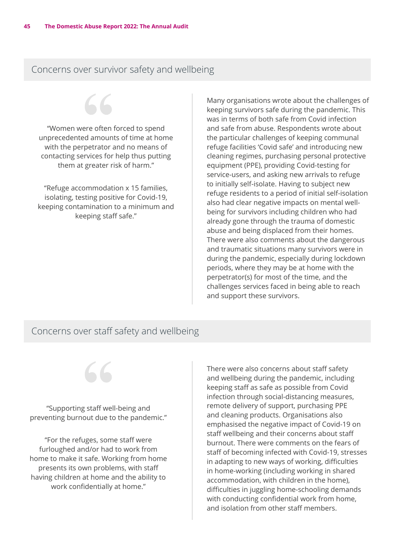# Concerns over survivor safety and wellbeing

"Women were often forced to spend unprecedented amounts of time at home with the perpetrator and no means of contacting services for help thus putting them at greater risk of harm."

"Refuge accommodation x 15 families, isolating, testing positive for Covid-19, keeping contamination to a minimum and keeping staff safe."

Many organisations wrote about the challenges of keeping survivors safe during the pandemic. This was in terms of both safe from Covid infection and safe from abuse. Respondents wrote about the particular challenges of keeping communal refuge facilities 'Covid safe' and introducing new cleaning regimes, purchasing personal protective equipment (PPE), providing Covid-testing for service-users, and asking new arrivals to refuge to initially self-isolate. Having to subject new refuge residents to a period of initial self-isolation also had clear negative impacts on mental wellbeing for survivors including children who had already gone through the trauma of domestic abuse and being displaced from their homes. There were also comments about the dangerous and traumatic situations many survivors were in during the pandemic, especially during lockdown periods, where they may be at home with the perpetrator(s) for most of the time, and the challenges services faced in being able to reach and support these survivors.

# Concerns over staff safety and wellbeing



"For the refuges, some staff were furloughed and/or had to work from home to make it safe. Working from home presents its own problems, with staff having children at home and the ability to work confidentially at home."

There were also concerns about staff safety and wellbeing during the pandemic, including keeping staff as safe as possible from Covid infection through social-distancing measures, remote delivery of support, purchasing PPE and cleaning products. Organisations also emphasised the negative impact of Covid-19 on staff wellbeing and their concerns about staff burnout. There were comments on the fears of staff of becoming infected with Covid-19, stresses in adapting to new ways of working, difficulties in home-working (including working in shared accommodation, with children in the home), difficulties in juggling home-schooling demands with conducting confidential work from home, and isolation from other staff members.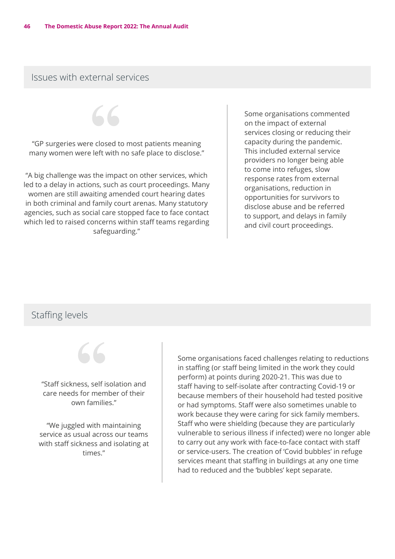# Issues with external services

"GP surgeries were closed to most patients meaning many women were left with no safe place to disclose."

"A big challenge was the impact on other services, which led to a delay in actions, such as court proceedings. Many women are still awaiting amended court hearing dates in both criminal and family court arenas. Many statutory agencies, such as social care stopped face to face contact which led to raised concerns within staff teams regarding safeguarding."

Some organisations commented on the impact of external services closing or reducing their capacity during the pandemic. This included external service providers no longer being able to come into refuges, slow response rates from external organisations, reduction in opportunities for survivors to disclose abuse and be referred to support, and delays in family and civil court proceedings.

# Staffing levels



Some organisations faced challenges relating to reductions in staffing (or staff being limited in the work they could perform) at points during 2020-21. This was due to staff having to self-isolate after contracting Covid-19 or because members of their household had tested positive or had symptoms. Staff were also sometimes unable to work because they were caring for sick family members. Staff who were shielding (because they are particularly vulnerable to serious illness if infected) were no longer able to carry out any work with face-to-face contact with staff or service-users. The creation of 'Covid bubbles' in refuge services meant that staffing in buildings at any one time had to reduced and the 'bubbles' kept separate.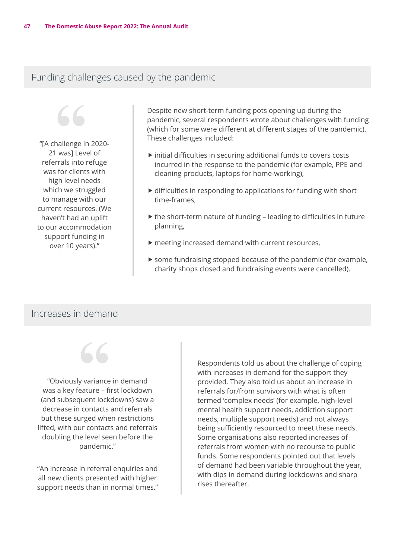# Funding challenges caused by the pandemic

"[A challenge in 2020- 21 was] Level of referrals into refuge was for clients with high level needs which we struggled to manage with our current resources. (We haven't had an uplift to our accommodation support funding in over 10 years)."

Despite new short-term funding pots opening up during the pandemic, several respondents wrote about challenges with funding (which for some were different at different stages of the pandemic). These challenges included:

- $\triangleright$  initial difficulties in securing additional funds to covers costs incurred in the response to the pandemic (for example, PPE and cleaning products, laptops for home-working),
- $\triangleright$  difficulties in responding to applications for funding with short time-frames,
- $\triangleright$  the short-term nature of funding leading to difficulties in future planning,
- $\blacktriangleright$  meeting increased demand with current resources,
- $\triangleright$  some fundraising stopped because of the pandemic (for example, charity shops closed and fundraising events were cancelled).

# Increases in demand



"Obviously variance in demand was a key feature – first lockdown (and subsequent lockdowns) saw a decrease in contacts and referrals but these surged when restrictions lifted, with our contacts and referrals doubling the level seen before the pandemic."

"An increase in referral enquiries and all new clients presented with higher support needs than in normal times." Respondents told us about the challenge of coping with increases in demand for the support they provided. They also told us about an increase in referrals for/from survivors with what is often termed 'complex needs' (for example, high-level mental health support needs, addiction support needs, multiple support needs) and not always being sufficiently resourced to meet these needs. Some organisations also reported increases of referrals from women with no recourse to public funds. Some respondents pointed out that levels of demand had been variable throughout the year, with dips in demand during lockdowns and sharp rises thereafter.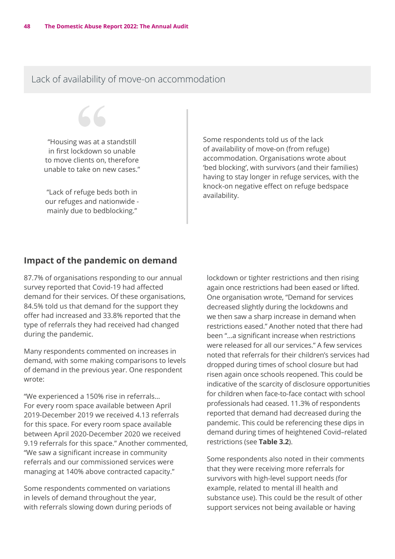# Lack of availability of move-on accommodation

"Housing was at a standstill in first lockdown so unable to move clients on, therefore unable to take on new cases."

"Lack of refuge beds both in our refuges and nationwide mainly due to bedblocking."

Some respondents told us of the lack of availability of move-on (from refuge) accommodation. Organisations wrote about 'bed blocking', with survivors (and their families) having to stay longer in refuge services, with the knock-on negative effect on refuge bedspace availability.

#### **Impact of the pandemic on demand**

87.7% of organisations responding to our annual survey reported that Covid-19 had affected demand for their services. Of these organisations, 84.5% told us that demand for the support they offer had increased and 33.8% reported that the type of referrals they had received had changed during the pandemic.

Many respondents commented on increases in demand, with some making comparisons to levels of demand in the previous year. One respondent wrote:

"We experienced a 150% rise in referrals… For every room space available between April 2019-December 2019 we received 4.13 referrals for this space. For every room space available between April 2020-December 2020 we received 9.19 referrals for this space." Another commented, "We saw a significant increase in community referrals and our commissioned services were managing at 140% above contracted capacity."

Some respondents commented on variations in levels of demand throughout the year, with referrals slowing down during periods of lockdown or tighter restrictions and then rising again once restrictions had been eased or lifted. One organisation wrote, "Demand for services decreased slightly during the lockdowns and we then saw a sharp increase in demand when restrictions eased." Another noted that there had been "…a significant increase when restrictions were released for all our services." A few services noted that referrals for their children's services had dropped during times of school closure but had risen again once schools reopened. This could be indicative of the scarcity of disclosure opportunities for children when face-to-face contact with school professionals had ceased. 11.3% of respondents reported that demand had decreased during the pandemic. This could be referencing these dips in demand during times of heightened Covid–related restrictions (see **Table 3.2**).

Some respondents also noted in their comments that they were receiving more referrals for survivors with high-level support needs (for example, related to mental ill health and substance use). This could be the result of other support services not being available or having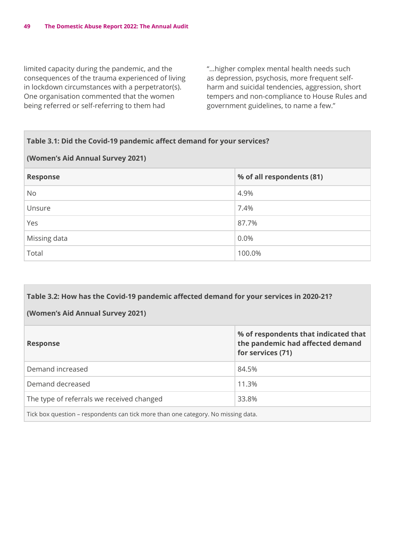limited capacity during the pandemic, and the consequences of the trauma experienced of living in lockdown circumstances with a perpetrator(s). One organisation commented that the women being referred or self-referring to them had

"…higher complex mental health needs such as depression, psychosis, more frequent selfharm and suicidal tendencies, aggression, short tempers and non-compliance to House Rules and government guidelines, to name a few."

| Table 3.1: Did the Covid-19 pandemic affect demand for your services? |                           |  |
|-----------------------------------------------------------------------|---------------------------|--|
| (Women's Aid Annual Survey 2021)                                      |                           |  |
| <b>Response</b>                                                       | % of all respondents (81) |  |
| <b>No</b>                                                             | 4.9%                      |  |
| Unsure                                                                | 7.4%                      |  |
| Yes                                                                   | 87.7%                     |  |
| Missing data                                                          | 0.0%                      |  |
| Total                                                                 | 100.0%                    |  |

# **Table 3.2: How has the Covid-19 pandemic affected demand for your services in 2020-21? (Women's Aid Annual Survey 2021) Response % of respondents that indicated that the pandemic had affected demand for services (71)** Demand increased 84.5% Demand decreased and the state of the 11.3% The type of referrals we received changed 33.8%

Tick box question – respondents can tick more than one category. No missing data.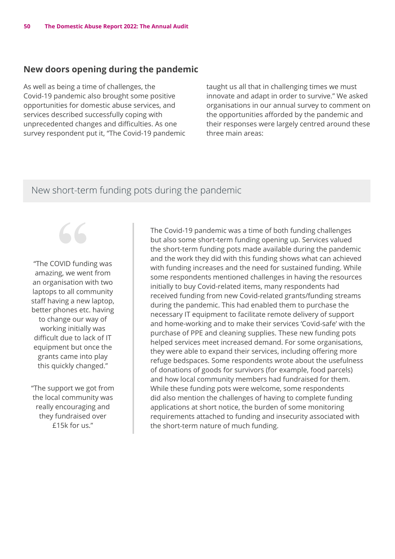### **New doors opening during the pandemic**

As well as being a time of challenges, the Covid-19 pandemic also brought some positive opportunities for domestic abuse services, and services described successfully coping with unprecedented changes and difficulties. As one survey respondent put it, "The Covid-19 pandemic taught us all that in challenging times we must innovate and adapt in order to survive." We asked organisations in our annual survey to comment on the opportunities afforded by the pandemic and their responses were largely centred around these three main areas:

# New short-term funding pots during the pandemic

"The COVID funding was amazing, we went from an organisation with two laptops to all community staff having a new laptop, better phones etc. having to change our way of working initially was difficult due to lack of IT equipment but once the grants came into play this quickly changed."

"The support we got from the local community was really encouraging and they fundraised over £15k for us."

The Covid-19 pandemic was a time of both funding challenges but also some short-term funding opening up. Services valued the short-term funding pots made available during the pandemic and the work they did with this funding shows what can achieved with funding increases and the need for sustained funding. While some respondents mentioned challenges in having the resources initially to buy Covid-related items, many respondents had received funding from new Covid-related grants/funding streams during the pandemic. This had enabled them to purchase the necessary IT equipment to facilitate remote delivery of support and home-working and to make their services 'Covid-safe' with the purchase of PPE and cleaning supplies. These new funding pots helped services meet increased demand. For some organisations, they were able to expand their services, including offering more refuge bedspaces. Some respondents wrote about the usefulness of donations of goods for survivors (for example, food parcels) and how local community members had fundraised for them. While these funding pots were welcome, some respondents did also mention the challenges of having to complete funding applications at short notice, the burden of some monitoring requirements attached to funding and insecurity associated with the short-term nature of much funding.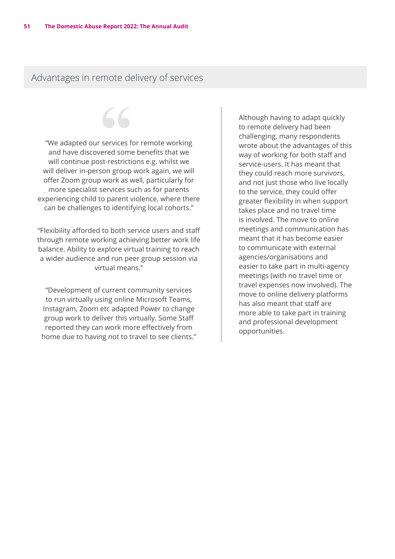Advantages in remote delivery of services

"We adapted our services for remote working and have discovered some benefits that we will continue post-restrictions e.g. whilst we will deliver in-person group work again, we will offer Zoom group work as well, particularly for more specialist services such as for parents experiencing child to parent violence, where there can be challenges to identifying local cohorts."

"Flexibility afforded to both service users and staff through remote working achieving better work life balance. Ability to explore virtual training to reach a wider audience and run peer group session via virtual means."

"Development of current community services to run virtually using online Microsoft Teams, Instagram, Zoom etc adapted Power to change group work to deliver this virtually. Some Staff reported they can work more effectively from home due to having not to travel to see clients." Although having to adapt quickly to remote delivery had been challenging, many respondents wrote about the advantages of this way of working for both staff and service-users. It has meant that they could reach more survivors, and not just those who live locally to the service, they could offer greater flexibility in when support takes place and no travel time is involved. The move to online meetings and communication has meant that it has become easier to communicate with external agencies/organisations and easier to take part in multi-agency meetings (with no travel time or travel expenses now involved). The move to online delivery platforms has also meant that staff are more able to take part in training and professional development opportunities.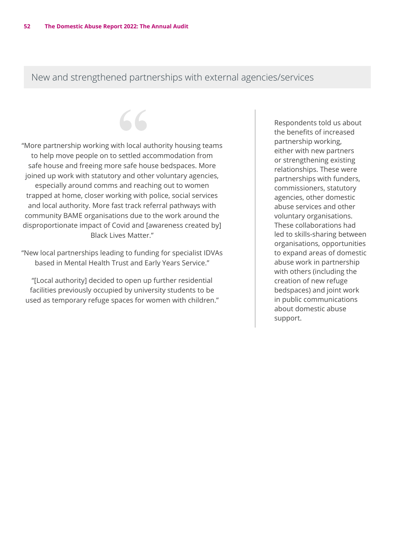# New and strengthened partnerships with external agencies/services

"More partnership working with local authority housing teams to help move people on to settled accommodation from safe house and freeing more safe house bedspaces. More joined up work with statutory and other voluntary agencies, especially around comms and reaching out to women trapped at home, closer working with police, social services and local authority. More fast track referral pathways with community BAME organisations due to the work around the disproportionate impact of Covid and [awareness created by] Black Lives Matter."

 $\overline{\mathcal{L}}$ 

"New local partnerships leading to funding for specialist IDVAs based in Mental Health Trust and Early Years Service."

"[Local authority] decided to open up further residential facilities previously occupied by university students to be used as temporary refuge spaces for women with children." Respondents told us about the benefits of increased partnership working, either with new partners or strengthening existing relationships. These were partnerships with funders, commissioners, statutory agencies, other domestic abuse services and other voluntary organisations. These collaborations had led to skills-sharing between organisations, opportunities to expand areas of domestic abuse work in partnership with others (including the creation of new refuge bedspaces) and joint work in public communications about domestic abuse support.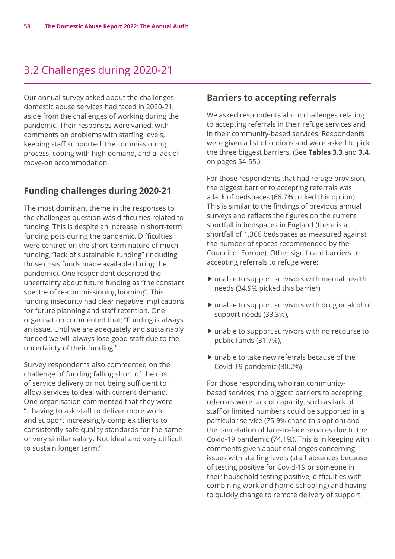# 3.2 Challenges during 2020-21

Our annual survey asked about the challenges domestic abuse services had faced in 2020-21, aside from the challenges of working during the pandemic. Their responses were varied, with comments on problems with staffing levels, keeping staff supported, the commissioning process, coping with high demand, and a lack of move-on accommodation.

# **Funding challenges during 2020-21**

The most dominant theme in the responses to the challenges question was difficulties related to funding. This is despite an increase in short-term funding pots during the pandemic. Difficulties were centred on the short-term nature of much funding, "lack of sustainable funding" (including those crisis funds made available during the pandemic). One respondent described the uncertainty about future funding as "the constant spectre of re-commissioning looming". This funding insecurity had clear negative implications for future planning and staff retention. One organisation commented that: "Funding is always an issue. Until we are adequately and sustainably funded we will always lose good staff due to the uncertainty of their funding."

Survey respondents also commented on the challenge of funding falling short of the cost of service delivery or not being sufficient to allow services to deal with current demand. One organisation commented that they were "…having to ask staff to deliver more work and support increasingly complex clients to consistently safe quality standards for the same or very similar salary. Not ideal and very difficult to sustain longer term."

#### **Barriers to accepting referrals**

We asked respondents about challenges relating to accepting referrals in their refuge services and in their community-based services. Respondents were given a list of options and were asked to pick the three biggest barriers. (See **Tables 3.3** and **3.4.** on pages 54-55.)

For those respondents that had refuge provision, the biggest barrier to accepting referrals was a lack of bedspaces (66.7% picked this option). This is similar to the findings of previous annual surveys and reflects the figures on the current shortfall in bedspaces in England (there is a shortfall of 1,366 bedspaces as measured against the number of spaces recommended by the Council of Europe). Other significant barriers to accepting referrals to refuge were:

- $\blacktriangleright$  unable to support survivors with mental health needs (34.9% picked this barrier)
- $\blacktriangleright$  unable to support survivors with drug or alcohol support needs (33.3%),
- $\blacktriangleright$  unable to support survivors with no recourse to public funds (31.7%),
- $\blacktriangleright$  unable to take new referrals because of the Covid-19 pandemic (30.2%)

For those responding who ran communitybased services, the biggest barriers to accepting referrals were lack of capacity, such as lack of staff or limited numbers could be supported in a particular service (75.9% chose this option) and the cancelation of face-to-face services due to the Covid-19 pandemic (74.1%). This is in keeping with comments given about challenges concerning issues with staffing levels (staff absences because of testing positive for Covid-19 or someone in their household testing positive; difficulties with combining work and home-schooling) and having to quickly change to remote delivery of support.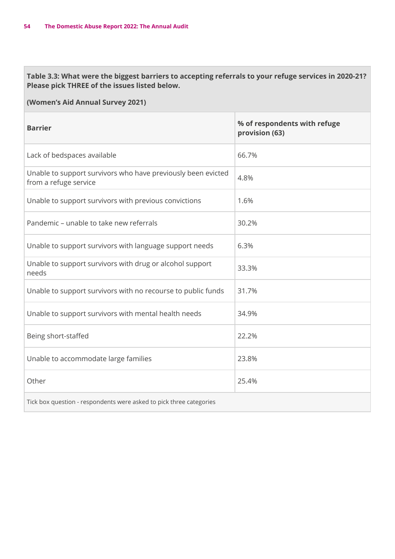**Table 3.3: What were the biggest barriers to accepting referrals to your refuge services in 2020-21? Please pick THREE of the issues listed below.** 

| <b>Barrier</b>                                                                        | % of respondents with refuge<br>provision (63) |
|---------------------------------------------------------------------------------------|------------------------------------------------|
| Lack of bedspaces available                                                           | 66.7%                                          |
| Unable to support survivors who have previously been evicted<br>from a refuge service | 4.8%                                           |
| Unable to support survivors with previous convictions                                 | 1.6%                                           |
| Pandemic – unable to take new referrals                                               | 30.2%                                          |
| Unable to support survivors with language support needs                               | 6.3%                                           |
| Unable to support survivors with drug or alcohol support<br>needs                     | 33.3%                                          |
| Unable to support survivors with no recourse to public funds                          | 31.7%                                          |
| Unable to support survivors with mental health needs                                  | 34.9%                                          |
| Being short-staffed                                                                   | 22.2%                                          |
| Unable to accommodate large families                                                  | 23.8%                                          |
| Other                                                                                 | 25.4%                                          |
| Tick box question - respondents were asked to pick three categories                   |                                                |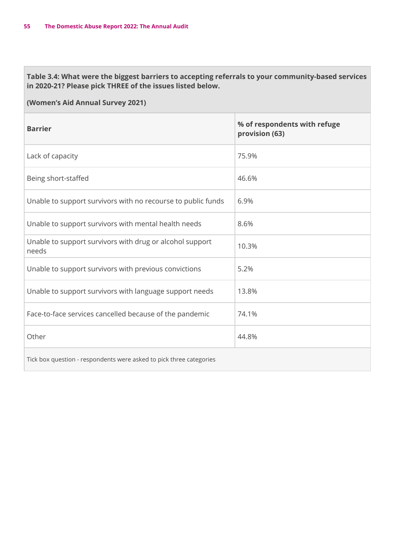### **Table 3.4: What were the biggest barriers to accepting referrals to your community-based services in 2020-21? Please pick THREE of the issues listed below.**

| <b>Barrier</b>                                                      | % of respondents with refuge<br>provision (63) |
|---------------------------------------------------------------------|------------------------------------------------|
| Lack of capacity                                                    | 75.9%                                          |
| Being short-staffed                                                 | 46.6%                                          |
| Unable to support survivors with no recourse to public funds        | 6.9%                                           |
| Unable to support survivors with mental health needs                | 8.6%                                           |
| Unable to support survivors with drug or alcohol support<br>needs   | 10.3%                                          |
| Unable to support survivors with previous convictions               | 5.2%                                           |
| Unable to support survivors with language support needs             | 13.8%                                          |
| Face-to-face services cancelled because of the pandemic             | 74.1%                                          |
| Other                                                               | 44.8%                                          |
| Tick box question - respondents were asked to pick three categories |                                                |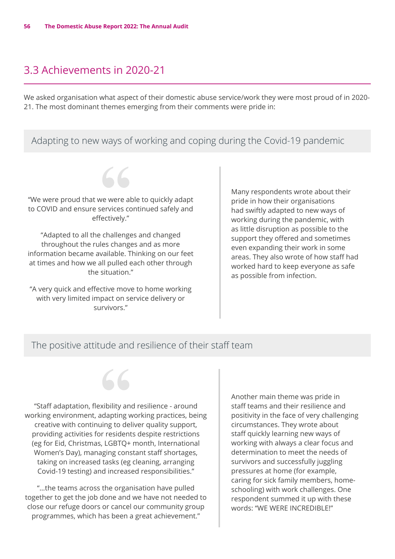# 3.3 Achievements in 2020-21

We asked organisation what aspect of their domestic abuse service/work they were most proud of in 2020- 21. The most dominant themes emerging from their comments were pride in:

# Adapting to new ways of working and coping during the Covid-19 pandemic



"We were proud that we were able to quickly adapt to COVID and ensure services continued safely and effectively."

"Adapted to all the challenges and changed throughout the rules changes and as more information became available. Thinking on our feet at times and how we all pulled each other through the situation."

"A very quick and effective move to home working with very limited impact on service delivery or survivors."

Many respondents wrote about their pride in how their organisations had swiftly adapted to new ways of working during the pandemic, with as little disruption as possible to the support they offered and sometimes even expanding their work in some areas. They also wrote of how staff had worked hard to keep everyone as safe as possible from infection.

### The positive attitude and resilience of their staff team

"Staff adaptation, flexibility and resilience - around working environment, adapting working practices, being creative with continuing to deliver quality support, providing activities for residents despite restrictions (eg for Eid, Christmas, LGBTQ+ month, International Women's Day), managing constant staff shortages, taking on increased tasks (eg cleaning, arranging Covid-19 testing) and increased responsibilities."

"…the teams across the organisation have pulled together to get the job done and we have not needed to close our refuge doors or cancel our community group programmes, which has been a great achievement."

Another main theme was pride in staff teams and their resilience and positivity in the face of very challenging circumstances. They wrote about staff quickly learning new ways of working with always a clear focus and determination to meet the needs of survivors and successfully juggling pressures at home (for example, caring for sick family members, homeschooling) with work challenges. One respondent summed it up with these words: "WE WERE INCREDIBLE!"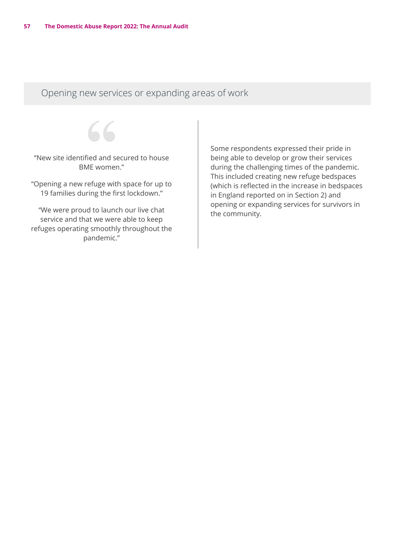Opening new services or expanding areas of work

"New site identified and secured to house BME women."

"Opening a new refuge with space for up to 19 families during the first lockdown."

"We were proud to launch our live chat service and that we were able to keep refuges operating smoothly throughout the pandemic."

Some respondents expressed their pride in being able to develop or grow their services during the challenging times of the pandemic. This included creating new refuge bedspaces (which is reflected in the increase in bedspaces in England reported on in Section 2) and opening or expanding services for survivors in the community.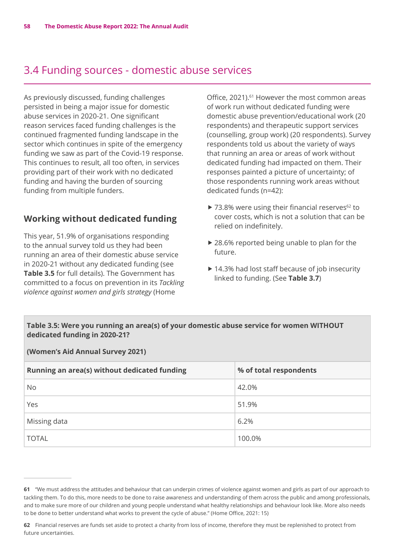# 3.4 Funding sources - domestic abuse services

As previously discussed, funding challenges persisted in being a major issue for domestic abuse services in 2020-21. One significant reason services faced funding challenges is the continued fragmented funding landscape in the sector which continues in spite of the emergency funding we saw as part of the Covid-19 response. This continues to result, all too often, in services providing part of their work with no dedicated funding and having the burden of sourcing funding from multiple funders.

# **Working without dedicated funding**

This year, 51.9% of organisations responding to the annual survey told us they had been running an area of their domestic abuse service in 2020-21 without any dedicated funding (see **Table 3.5** for full details). The Government has committed to a focus on prevention in its *Tackling violence against women and girls strategy* (Home

Office, 2021).<sup>61</sup> However the most common areas of work run without dedicated funding were domestic abuse prevention/educational work (20 respondents) and therapeutic support services (counselling, group work) (20 respondents). Survey respondents told us about the variety of ways that running an area or areas of work without dedicated funding had impacted on them. Their responses painted a picture of uncertainty; of those respondents running work areas without dedicated funds (n=42):

- $\triangleright$  73.8% were using their financial reserves<sup>62</sup> to cover costs, which is not a solution that can be relied on indefinitely.
- $\triangleright$  28.6% reported being unable to plan for the future.
- $\blacktriangleright$  14.3% had lost staff because of job insecurity linked to funding. (See **Table 3.7**)

#### **Table 3.5: Were you running an area(s) of your domestic abuse service for women WITHOUT dedicated funding in 2020-21?**

| Running an area(s) without dedicated funding | % of total respondents |
|----------------------------------------------|------------------------|
| <b>No</b>                                    | 42.0%                  |
| Yes                                          | 51.9%                  |
| Missing data                                 | 6.2%                   |
| <b>TOTAL</b>                                 | 100.0%                 |

**<sup>61</sup>** "We must address the attitudes and behaviour that can underpin crimes of violence against women and girls as part of our approach to tackling them. To do this, more needs to be done to raise awareness and understanding of them across the public and among professionals, and to make sure more of our children and young people understand what healthy relationships and behaviour look like. More also needs to be done to better understand what works to prevent the cycle of abuse." (Home Office, 2021: 15)

**<sup>62</sup>** Financial reserves are funds set aside to protect a charity from loss of income, therefore they must be replenished to protect from future uncertainties.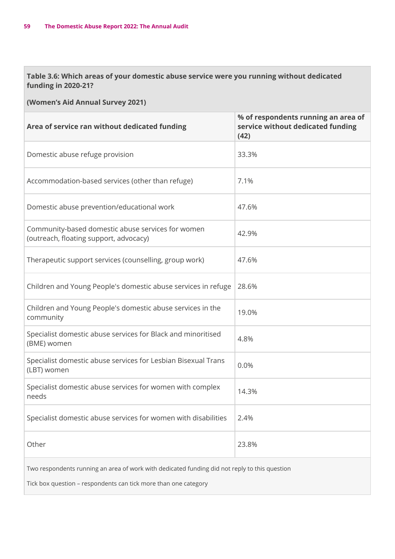#### **Table 3.6: Which areas of your domestic abuse service were you running without dedicated funding in 2020-21?**

| Area of service ran without dedicated funding                                                                                                                    | % of respondents running an area of<br>service without dedicated funding<br>(42) |  |
|------------------------------------------------------------------------------------------------------------------------------------------------------------------|----------------------------------------------------------------------------------|--|
| Domestic abuse refuge provision                                                                                                                                  | 33.3%                                                                            |  |
| Accommodation-based services (other than refuge)                                                                                                                 | 7.1%                                                                             |  |
| Domestic abuse prevention/educational work                                                                                                                       | 47.6%                                                                            |  |
| Community-based domestic abuse services for women<br>(outreach, floating support, advocacy)                                                                      | 42.9%                                                                            |  |
| Therapeutic support services (counselling, group work)                                                                                                           | 47.6%                                                                            |  |
| Children and Young People's domestic abuse services in refuge                                                                                                    | 28.6%                                                                            |  |
| Children and Young People's domestic abuse services in the<br>community                                                                                          | 19.0%                                                                            |  |
| Specialist domestic abuse services for Black and minoritised<br>(BME) women                                                                                      | 4.8%                                                                             |  |
| Specialist domestic abuse services for Lesbian Bisexual Trans<br>(LBT) women                                                                                     | 0.0%                                                                             |  |
| Specialist domestic abuse services for women with complex<br>needs                                                                                               | 14.3%                                                                            |  |
| Specialist domestic abuse services for women with disabilities                                                                                                   | 2.4%                                                                             |  |
| Other                                                                                                                                                            | 23.8%                                                                            |  |
| Two respondents running an area of work with dedicated funding did not reply to this question<br>Tick box question - respondents can tick more than one category |                                                                                  |  |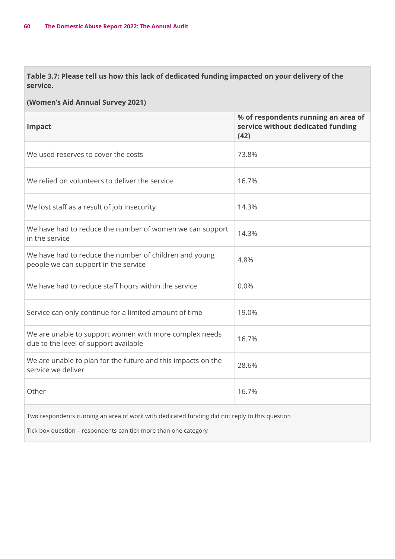**Table 3.7: Please tell us how this lack of dedicated funding impacted on your delivery of the service.** 

#### **(Women's Aid Annual Survey 2021)**

| Impact                                                                                          | % of respondents running an area of<br>service without dedicated funding<br>(42) |
|-------------------------------------------------------------------------------------------------|----------------------------------------------------------------------------------|
| We used reserves to cover the costs                                                             | 73.8%                                                                            |
| We relied on volunteers to deliver the service                                                  | 16.7%                                                                            |
| We lost staff as a result of job insecurity                                                     | 14.3%                                                                            |
| We have had to reduce the number of women we can support<br>in the service                      | 14.3%                                                                            |
| We have had to reduce the number of children and young<br>people we can support in the service  | 4.8%                                                                             |
| We have had to reduce staff hours within the service                                            | 0.0%                                                                             |
| Service can only continue for a limited amount of time                                          | 19.0%                                                                            |
| We are unable to support women with more complex needs<br>due to the level of support available | 16.7%                                                                            |
| We are unable to plan for the future and this impacts on the<br>service we deliver              | 28.6%                                                                            |
| Other                                                                                           | 16.7%                                                                            |
|                                                                                                 |                                                                                  |

Two respondents running an area of work with dedicated funding did not reply to this question

Tick box question – respondents can tick more than one category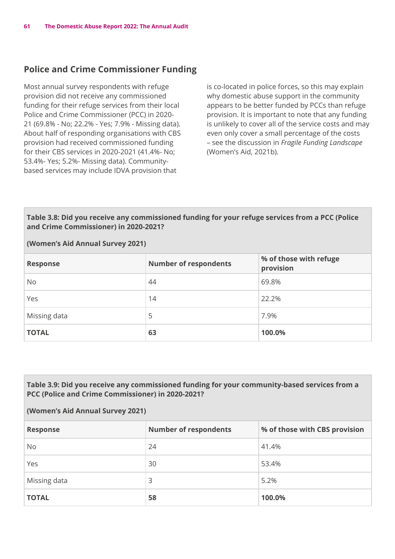# **Police and Crime Commissioner Funding**

Most annual survey respondents with refuge provision did not receive any commissioned funding for their refuge services from their local Police and Crime Commissioner (PCC) in 2020- 21 (69.8% - No; 22.2% - Yes; 7.9% - Missing data). About half of responding organisations with CBS provision had received commissioned funding for their CBS services in 2020-2021 (41.4%- No; 53.4%- Yes; 5.2%- Missing data). Communitybased services may include IDVA provision that

is co-located in police forces, so this may explain why domestic abuse support in the community appears to be better funded by PCCs than refuge provision. It is important to note that any funding is unlikely to cover all of the service costs and may even only cover a small percentage of the costs – see the discussion in *Fragile Funding Landscape* (Women's Aid, 2021b).

#### **Table 3.8: Did you receive any commissioned funding for your refuge services from a PCC (Police and Crime Commissioner) in 2020-2021?**

#### **(Women's Aid Annual Survey 2021)**

| <b>Response</b> | <b>Number of respondents</b> | % of those with refuge<br>provision |
|-----------------|------------------------------|-------------------------------------|
| No              | 44                           | 69.8%                               |
| Yes             | 14                           | 22.2%                               |
| Missing data    | 5                            | 7.9%                                |
| <b>TOTAL</b>    | 63                           | 100.0%                              |

#### **Table 3.9: Did you receive any commissioned funding for your community-based services from a PCC (Police and Crime Commissioner) in 2020-2021?**

| <b>Response</b> | <b>Number of respondents</b> | % of those with CBS provision |
|-----------------|------------------------------|-------------------------------|
| <b>No</b>       | 24                           | 41.4%                         |
| Yes             | 30                           | 53.4%                         |
| Missing data    | 3                            | 5.2%                          |
| <b>TOTAL</b>    | 58                           | 100.0%                        |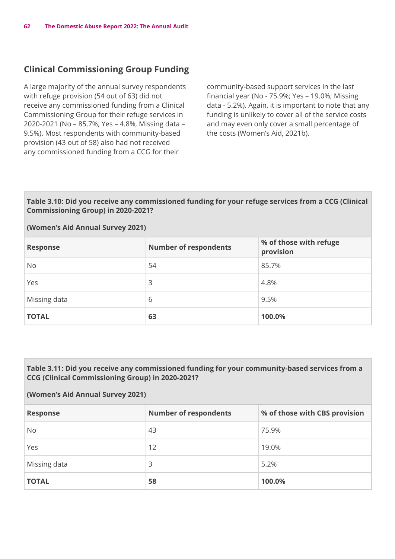# **Clinical Commissioning Group Funding**

A large majority of the annual survey respondents with refuge provision (54 out of 63) did not receive any commissioned funding from a Clinical Commissioning Group for their refuge services in 2020-2021 (No – 85.7%; Yes – 4.8%, Missing data – 9.5%). Most respondents with community-based provision (43 out of 58) also had not received any commissioned funding from a CCG for their

community-based support services in the last financial year (No - 75.9%; Yes – 19.0%; Missing data - 5.2%). Again, it is important to note that any funding is unlikely to cover all of the service costs and may even only cover a small percentage of the costs (Women's Aid, 2021b).

#### **Table 3.10: Did you receive any commissioned funding for your refuge services from a CCG (Clinical Commissioning Group) in 2020-2021?**

#### **(Women's Aid Annual Survey 2021)**

| <b>Response</b> | <b>Number of respondents</b> | % of those with refuge<br>provision |
|-----------------|------------------------------|-------------------------------------|
| <b>No</b>       | 54                           | 85.7%                               |
| Yes             | 3                            | 4.8%                                |
| Missing data    | 6                            | 9.5%                                |
| <b>TOTAL</b>    | 63                           | 100.0%                              |

#### **Table 3.11: Did you receive any commissioned funding for your community-based services from a CCG (Clinical Commissioning Group) in 2020-2021?**

| <b>Response</b> | <b>Number of respondents</b> | % of those with CBS provision |
|-----------------|------------------------------|-------------------------------|
| No              | 43                           | 75.9%                         |
| Yes             | 12                           | 19.0%                         |
| Missing data    | 3                            | 5.2%                          |
| <b>TOTAL</b>    | 58                           | 100.0%                        |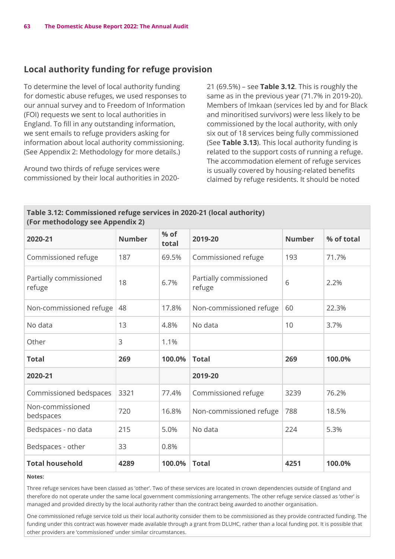### **Local authority funding for refuge provision**

To determine the level of local authority funding for domestic abuse refuges, we used responses to our annual survey and to Freedom of Information (FOI) requests we sent to local authorities in England. To fill in any outstanding information, we sent emails to refuge providers asking for information about local authority commissioning. (See Appendix 2: Methodology for more details.)

Around two thirds of refuge services were commissioned by their local authorities in 202021 (69.5%) – see **Table 3.12**. This is roughly the same as in the previous year (71.7% in 2019-20). Members of Imkaan (services led by and for Black and minoritised survivors) were less likely to be commissioned by the local authority, with only six out of 18 services being fully commissioned (See **Table 3.13**). This local authority funding is related to the support costs of running a refuge. The accommodation element of refuge services is usually covered by housing-related benefits claimed by refuge residents. It should be noted

| Table 3.12: Commissioned refuge services in 2020-21 (local authority)<br>(For methodology see Appendix 2) |               |                 |                                  |               |            |
|-----------------------------------------------------------------------------------------------------------|---------------|-----------------|----------------------------------|---------------|------------|
| 2020-21                                                                                                   | <b>Number</b> | $%$ of<br>total | 2019-20                          | <b>Number</b> | % of total |
| Commissioned refuge                                                                                       | 187           | 69.5%           | Commissioned refuge              | 193           | 71.7%      |
| Partially commissioned<br>refuge                                                                          | 18            | 6.7%            | Partially commissioned<br>refuge | 6             | 2.2%       |
| Non-commissioned refuge                                                                                   | 48            | 17.8%           | Non-commissioned refuge          | 60            | 22.3%      |
| No data                                                                                                   | 13            | 4.8%            | No data                          | 10            | 3.7%       |
| Other                                                                                                     | 3             | 1.1%            |                                  |               |            |
| <b>Total</b>                                                                                              | 269           | 100.0%          | <b>Total</b>                     | 269           | 100.0%     |
| 2020-21                                                                                                   |               |                 | 2019-20                          |               |            |
| Commissioned bedspaces                                                                                    | 3321          | 77.4%           | Commissioned refuge              | 3239          | 76.2%      |
| Non-commissioned<br>bedspaces                                                                             | 720           | 16.8%           | Non-commissioned refuge          | 788           | 18.5%      |
| Bedspaces - no data                                                                                       | 215           | 5.0%            | No data                          | 224           | 5.3%       |
| Bedspaces - other                                                                                         | 33            | 0.8%            |                                  |               |            |
| <b>Total household</b>                                                                                    | 4289          | 100.0%          | <b>Total</b>                     | 4251          | 100.0%     |

#### **Notes:**

Three refuge services have been classed as 'other'. Two of these services are located in crown dependencies outside of England and therefore do not operate under the same local government commissioning arrangements. The other refuge service classed as 'other' is managed and provided directly by the local authority rather than the contract being awarded to another organisation.

One commissioned refuge service told us their local authority consider them to be commissioned as they provide contracted funding. The funding under this contract was however made available through a grant from DLUHC, rather than a local funding pot. It is possible that other providers are 'commissioned' under similar circumstances.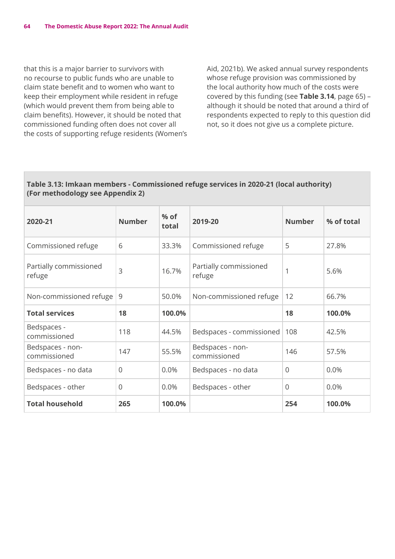that this is a major barrier to survivors with no recourse to public funds who are unable to claim state benefit and to women who want to keep their employment while resident in refuge (which would prevent them from being able to claim benefits). However, it should be noted that commissioned funding often does not cover all the costs of supporting refuge residents (Women's Aid, 2021b). We asked annual survey respondents whose refuge provision was commissioned by the local authority how much of the costs were covered by this funding (see **Table 3.14**, page 65) – although it should be noted that around a third of respondents expected to reply to this question did not, so it does not give us a complete picture.

### **Table 3.13: Imkaan members - Commissioned refuge services in 2020-21 (local authority) (For methodology see Appendix 2)**

| 2020-21                          | <b>Number</b> | $%$ of<br>total | 2019-20                          | <b>Number</b>  | % of total |
|----------------------------------|---------------|-----------------|----------------------------------|----------------|------------|
| Commissioned refuge              | 6             | 33.3%           | Commissioned refuge              | 5              | 27.8%      |
| Partially commissioned<br>refuge | 3             | 16.7%           | Partially commissioned<br>refuge | 1              | 5.6%       |
| Non-commissioned refuge          | 9             | 50.0%           | Non-commissioned refuge          | 12             | 66.7%      |
| <b>Total services</b>            | 18            | 100.0%          |                                  | 18             | 100.0%     |
| Bedspaces -<br>commissioned      | 118           | 44.5%           | Bedspaces - commissioned         | 108            | 42.5%      |
| Bedspaces - non-<br>commissioned | 147           | 55.5%           | Bedspaces - non-<br>commissioned | 146            | 57.5%      |
| Bedspaces - no data              | $\mathbf{0}$  | 0.0%            | Bedspaces - no data              | $\overline{0}$ | 0.0%       |
| Bedspaces - other                | $\Omega$      | 0.0%            | Bedspaces - other                | $\Omega$       | 0.0%       |
| <b>Total household</b>           | 265           | 100.0%          |                                  | 254            | 100.0%     |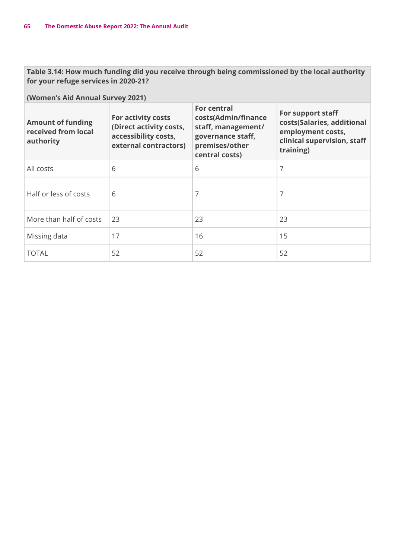**Table 3.14: How much funding did you receive through being commissioned by the local authority for your refuge services in 2020-21?** 

| <b>Amount of funding</b><br>received from local<br>authority | For activity costs<br>(Direct activity costs,<br>accessibility costs,<br>external contractors) | <b>For central</b><br>costs(Admin/finance<br>staff, management/<br>governance staff,<br>premises/other<br>central costs) | For support staff<br>costs(Salaries, additional<br>employment costs,<br>clinical supervision, staff<br>training) |
|--------------------------------------------------------------|------------------------------------------------------------------------------------------------|--------------------------------------------------------------------------------------------------------------------------|------------------------------------------------------------------------------------------------------------------|
| All costs                                                    | 6                                                                                              | 6                                                                                                                        | 7                                                                                                                |
| Half or less of costs                                        | 6                                                                                              | 7                                                                                                                        | 7                                                                                                                |
| More than half of costs                                      | 23                                                                                             | 23                                                                                                                       | 23                                                                                                               |
| Missing data                                                 | 17                                                                                             | 16                                                                                                                       | 15                                                                                                               |
| <b>TOTAL</b>                                                 | 52                                                                                             | 52                                                                                                                       | 52                                                                                                               |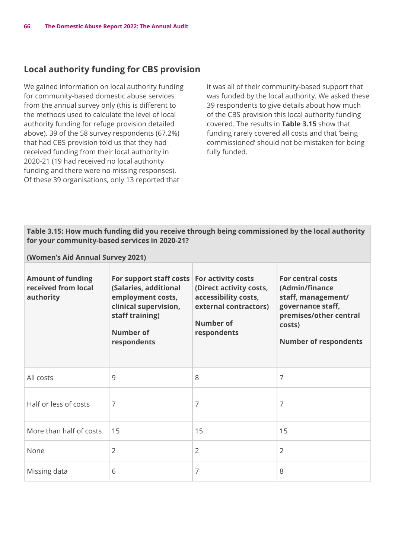# **Local authority funding for CBS provision**

We gained information on local authority funding for community-based domestic abuse services from the annual survey only (this is different to the methods used to calculate the level of local authority funding for refuge provision detailed above). 39 of the 58 survey respondents (67.2%) that had CBS provision told us that they had received funding from their local authority in 2020-21 (19 had received no local authority funding and there were no missing responses). Of these 39 organisations, only 13 reported that

it was all of their community-based support that was funded by the local authority. We asked these 39 respondents to give details about how much of the CBS provision this local authority funding covered. The results in **Table 3.15** show that funding rarely covered all costs and that 'being commissioned' should not be mistaken for being fully funded.

#### **Table 3.15: How much funding did you receive through being commissioned by the local authority for your community-based services in 2020-21?**

| <b>Amount of funding</b><br>received from local<br>authority | For support staff costs<br>(Salaries, additional<br>employment costs,<br>clinical supervision,<br>staff training)<br><b>Number of</b><br>respondents | For activity costs<br>(Direct activity costs,<br>accessibility costs,<br>external contractors)<br>Number of<br>respondents | For central costs<br>(Admin/finance<br>staff, management/<br>governance staff,<br>premises/other central<br>costs)<br><b>Number of respondents</b> |
|--------------------------------------------------------------|------------------------------------------------------------------------------------------------------------------------------------------------------|----------------------------------------------------------------------------------------------------------------------------|----------------------------------------------------------------------------------------------------------------------------------------------------|
| All costs                                                    | 9                                                                                                                                                    | 8                                                                                                                          | 7                                                                                                                                                  |
| Half or less of costs                                        | 7                                                                                                                                                    | 7                                                                                                                          | 7                                                                                                                                                  |
| More than half of costs                                      | 15                                                                                                                                                   | 15                                                                                                                         | 15                                                                                                                                                 |
| None                                                         | $\overline{2}$                                                                                                                                       | $\overline{2}$                                                                                                             | $\overline{2}$                                                                                                                                     |
| Missing data                                                 | 6                                                                                                                                                    | 7                                                                                                                          | 8                                                                                                                                                  |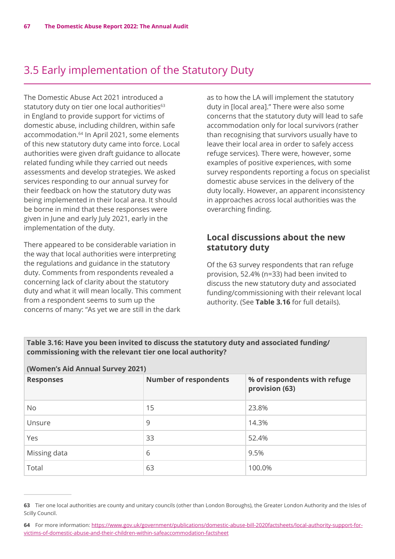# 3.5 Early implementation of the Statutory Duty

The Domestic Abuse Act 2021 introduced a statutory duty on tier one local authorities<sup>63</sup> in England to provide support for victims of domestic abuse, including children, within safe accommodation.64 In April 2021, some elements of this new statutory duty came into force. Local authorities were given draft guidance to allocate related funding while they carried out needs assessments and develop strategies. We asked services responding to our annual survey for their feedback on how the statutory duty was being implemented in their local area. It should be borne in mind that these responses were given in June and early July 2021, early in the implementation of the duty.

There appeared to be considerable variation in the way that local authorities were interpreting the regulations and guidance in the statutory duty. Comments from respondents revealed a concerning lack of clarity about the statutory duty and what it will mean locally. This comment from a respondent seems to sum up the concerns of many: "As yet we are still in the dark

as to how the LA will implement the statutory duty in [local area]." There were also some concerns that the statutory duty will lead to safe accommodation only for local survivors (rather than recognising that survivors usually have to leave their local area in order to safely access refuge services). There were, however, some examples of positive experiences, with some survey respondents reporting a focus on specialist domestic abuse services in the delivery of the duty locally. However, an apparent inconsistency in approaches across local authorities was the overarching finding.

# **Local discussions about the new statutory duty**

Of the 63 survey respondents that ran refuge provision, 52.4% (n=33) had been invited to discuss the new statutory duty and associated funding/commissioning with their relevant local authority. (See **Table 3.16** for full details).

| Table 3.16: Have you been invited to discuss the statutory duty and associated funding/ |  |
|-----------------------------------------------------------------------------------------|--|
| commissioning with the relevant tier one local authority?                               |  |

| (WOMEN'S AIG ANNUAL SUIVEY 2021) |                              |                                                |  |  |
|----------------------------------|------------------------------|------------------------------------------------|--|--|
| <b>Responses</b>                 | <b>Number of respondents</b> | % of respondents with refuge<br>provision (63) |  |  |
| <b>No</b>                        | 15                           | 23.8%                                          |  |  |
| Unsure                           | 9                            | 14.3%                                          |  |  |
| Yes                              | 33                           | 52.4%                                          |  |  |
| Missing data                     | 6                            | 9.5%                                           |  |  |
| Total                            | 63                           | 100.0%                                         |  |  |

**<sup>63</sup>** Tier one local authorities are county and unitary councils (other than London Boroughs), the Greater London Authority and the Isles of Scilly Council.

**<sup>64</sup>** For more information: [https://www.gov.uk/government/publications/domestic-abuse-bill-2020factsheets/local-authority-support-for](https://www.gov.uk/government/publications/domestic-abuse-bill-2020factsheets/local-authority-support-for-victims-of-domestic-abuse-and-their-children-within-safeaccommodation-factsheet)[victims-of-domestic-abuse-and-their-children-within-safeaccommodation-factsheet](https://www.gov.uk/government/publications/domestic-abuse-bill-2020factsheets/local-authority-support-for-victims-of-domestic-abuse-and-their-children-within-safeaccommodation-factsheet)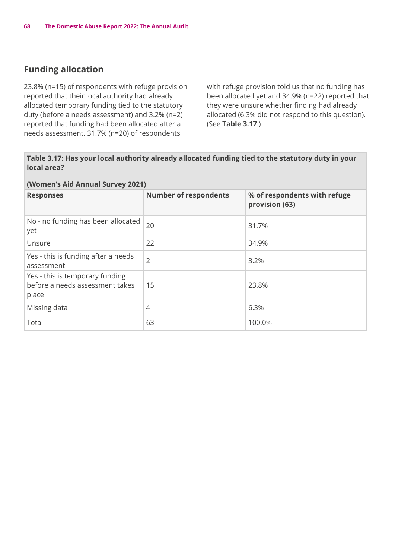# **Funding allocation**

23.8% (n=15) of respondents with refuge provision reported that their local authority had already allocated temporary funding tied to the statutory duty (before a needs assessment) and 3.2% (n=2) reported that funding had been allocated after a needs assessment. 31.7% (n=20) of respondents

with refuge provision told us that no funding has been allocated yet and 34.9% (n=22) reported that they were unsure whether finding had already allocated (6.3% did not respond to this question). (See **Table 3.17**.)

#### **Table 3.17: Has your local authority already allocated funding tied to the statutory duty in your local area?**

| <b>Responses</b>                                                            | <b>Number of respondents</b> | % of respondents with refuge<br>provision (63) |
|-----------------------------------------------------------------------------|------------------------------|------------------------------------------------|
| No - no funding has been allocated<br>yet                                   | 20                           | 31.7%                                          |
| Unsure                                                                      | 22                           | 34.9%                                          |
| Yes - this is funding after a needs<br>assessment                           | $\overline{2}$               | 3.2%                                           |
| Yes - this is temporary funding<br>before a needs assessment takes<br>place | 15                           | 23.8%                                          |
| Missing data                                                                | 4                            | 6.3%                                           |
| Total                                                                       | 63                           | 100.0%                                         |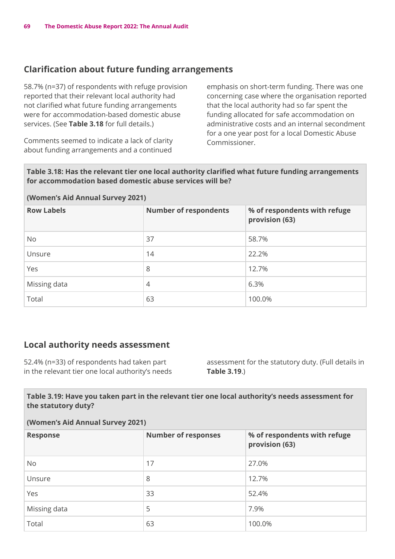# **Clarification about future funding arrangements**

58.7% (n=37) of respondents with refuge provision reported that their relevant local authority had not clarified what future funding arrangements were for accommodation-based domestic abuse services. (See **Table 3.18** for full details.)

Comments seemed to indicate a lack of clarity about funding arrangements and a continued

emphasis on short-term funding. There was one concerning case where the organisation reported that the local authority had so far spent the funding allocated for safe accommodation on administrative costs and an internal secondment for a one year post for a local Domestic Abuse Commissioner.

**Table 3.18: Has the relevant tier one local authority clarified what future funding arrangements for accommodation based domestic abuse services will be?**

#### **(Women's Aid Annual Survey 2021)**

| <b>Row Labels</b> | <b>Number of respondents</b> | % of respondents with refuge<br>provision (63) |
|-------------------|------------------------------|------------------------------------------------|
| <b>No</b>         | 37                           | 58.7%                                          |
| Unsure            | 14                           | 22.2%                                          |
| Yes               | 8                            | 12.7%                                          |
| Missing data      | 4                            | 6.3%                                           |
| Total             | 63                           | 100.0%                                         |

### **Local authority needs assessment**

52.4% (n=33) of respondents had taken part in the relevant tier one local authority's needs assessment for the statutory duty. (Full details in **Table 3.19**.)

#### **Table 3.19: Have you taken part in the relevant tier one local authority's needs assessment for the statutory duty?**

| <b>Response</b> | <b>Number of responses</b> | % of respondents with refuge<br>provision (63) |
|-----------------|----------------------------|------------------------------------------------|
| <b>No</b>       | 17                         | 27.0%                                          |
| Unsure          | 8                          | 12.7%                                          |
| Yes             | 33                         | 52.4%                                          |
| Missing data    | 5                          | 7.9%                                           |
| Total           | 63                         | 100.0%                                         |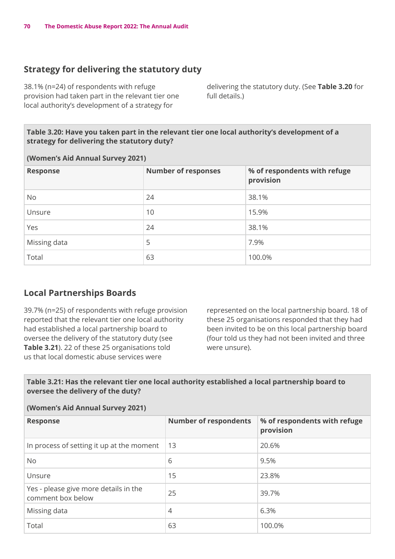# **Strategy for delivering the statutory duty**

38.1% (n=24) of respondents with refuge provision had taken part in the relevant tier one local authority's development of a strategy for

delivering the statutory duty. (See **Table 3.20** for full details.)

#### **Table 3.20: Have you taken part in the relevant tier one local authority's development of a strategy for delivering the statutory duty?**

#### **(Women's Aid Annual Survey 2021)**

| <b>Response</b> | <b>Number of responses</b> | % of respondents with refuge<br>provision |
|-----------------|----------------------------|-------------------------------------------|
| <b>No</b>       | 24                         | 38.1%                                     |
| Unsure          | 10                         | 15.9%                                     |
| Yes             | 24                         | 38.1%                                     |
| Missing data    | 5                          | 7.9%                                      |
| Total           | 63                         | 100.0%                                    |

### **Local Partnerships Boards**

39.7% (n=25) of respondents with refuge provision reported that the relevant tier one local authority had established a local partnership board to oversee the delivery of the statutory duty (see **Table 3.21**). 22 of these 25 organisations told us that local domestic abuse services were

represented on the local partnership board. 18 of these 25 organisations responded that they had been invited to be on this local partnership board (four told us they had not been invited and three were unsure).

### **Table 3.21: Has the relevant tier one local authority established a local partnership board to oversee the delivery of the duty?**

| <b>Response</b>                                            | <b>Number of respondents</b> | % of respondents with refuge<br>provision |  |  |
|------------------------------------------------------------|------------------------------|-------------------------------------------|--|--|
| In process of setting it up at the moment                  | 13                           | 20.6%                                     |  |  |
| <b>No</b>                                                  | 6                            | 9.5%                                      |  |  |
| Unsure                                                     | 15                           | 23.8%                                     |  |  |
| Yes - please give more details in the<br>comment box below | 25                           | 39.7%                                     |  |  |
| Missing data                                               | $\overline{4}$               | 6.3%                                      |  |  |
| Total                                                      | 63                           | 100.0%                                    |  |  |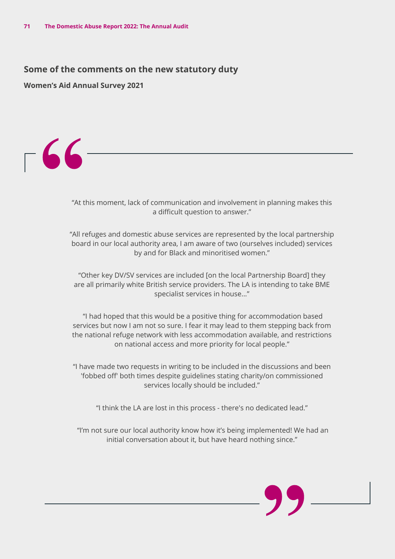### **Some of the comments on the new statutory duty**

**Women's Aid Annual Survey 2021**



"At this moment, lack of communication and involvement in planning makes this a difficult question to answer."

"All refuges and domestic abuse services are represented by the local partnership board in our local authority area, I am aware of two (ourselves included) services by and for Black and minoritised women."

"Other key DV/SV services are included [on the local Partnership Board] they are all primarily white British service providers. The LA is intending to take BME specialist services in house..."

 "I had hoped that this would be a positive thing for accommodation based services but now I am not so sure. I fear it may lead to them stepping back from the national refuge network with less accommodation available, and restrictions on national access and more priority for local people."

"I have made two requests in writing to be included in the discussions and been 'fobbed off' both times despite guidelines stating charity/on commissioned services locally should be included."

"I think the LA are lost in this process - there's no dedicated lead."

 "I'm not sure our local authority know how it's being implemented! We had an initial conversation about it, but have heard nothing since."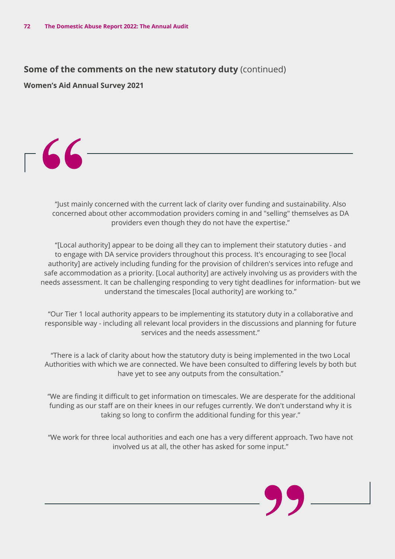**Some of the comments on the new statutory duty** (continued)

**Women's Aid Annual Survey 2021**



"Just mainly concerned with the current lack of clarity over funding and sustainability. Also concerned about other accommodation providers coming in and "selling" themselves as DA providers even though they do not have the expertise."

"[Local authority] appear to be doing all they can to implement their statutory duties - and to engage with DA service providers throughout this process. It's encouraging to see [local authority] are actively including funding for the provision of children's services into refuge and safe accommodation as a priority. [Local authority] are actively involving us as providers with the needs assessment. It can be challenging responding to very tight deadlines for information- but we understand the timescales [local authority] are working to."

"Our Tier 1 local authority appears to be implementing its statutory duty in a collaborative and responsible way - including all relevant local providers in the discussions and planning for future services and the needs assessment."

"There is a lack of clarity about how the statutory duty is being implemented in the two Local Authorities with which we are connected. We have been consulted to differing levels by both but have yet to see any outputs from the consultation."

 "We are finding it difficult to get information on timescales. We are desperate for the additional funding as our staff are on their knees in our refuges currently. We don't understand why it is taking so long to confirm the additional funding for this year."

"We work for three local authorities and each one has a very different approach. Two have not involved us at all, the other has asked for some input."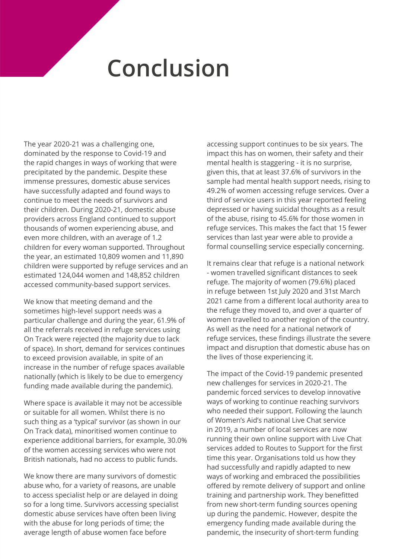# **Conclusion**

The year 2020-21 was a challenging one, dominated by the response to Covid-19 and the rapid changes in ways of working that were precipitated by the pandemic. Despite these immense pressures, domestic abuse services have successfully adapted and found ways to continue to meet the needs of survivors and their children. During 2020-21, domestic abuse providers across England continued to support thousands of women experiencing abuse, and even more children, with an average of 1.2 children for every woman supported. Throughout the year, an estimated 10,809 women and 11,890 children were supported by refuge services and an estimated 124,044 women and 148,852 children accessed community-based support services.

We know that meeting demand and the sometimes high-level support needs was a particular challenge and during the year, 61.9% of all the referrals received in refuge services using On Track were rejected (the majority due to lack of space). In short, demand for services continues to exceed provision available, in spite of an increase in the number of refuge spaces available nationally (which is likely to be due to emergency funding made available during the pandemic).

Where space is available it may not be accessible or suitable for all women. Whilst there is no such thing as a 'typical' survivor (as shown in our On Track data), minoritised women continue to experience additional barriers, for example, 30.0% of the women accessing services who were not British nationals, had no access to public funds.

We know there are many survivors of domestic abuse who, for a variety of reasons, are unable to access specialist help or are delayed in doing so for a long time. Survivors accessing specialist domestic abuse services have often been living with the abuse for long periods of time; the average length of abuse women face before

accessing support continues to be six years. The impact this has on women, their safety and their mental health is staggering - it is no surprise, given this, that at least 37.6% of survivors in the sample had mental health support needs, rising to 49.2% of women accessing refuge services. Over a third of service users in this year reported feeling depressed or having suicidal thoughts as a result of the abuse, rising to 45.6% for those women in refuge services. This makes the fact that 15 fewer services than last year were able to provide a formal counselling service especially concerning.

It remains clear that refuge is a national network - women travelled significant distances to seek refuge. The majority of women (79.6%) placed in refuge between 1st July 2020 and 31st March 2021 came from a different local authority area to the refuge they moved to, and over a quarter of women travelled to another region of the country. As well as the need for a national network of refuge services, these findings illustrate the severe impact and disruption that domestic abuse has on the lives of those experiencing it.

The impact of the Covid-19 pandemic presented new challenges for services in 2020-21. The pandemic forced services to develop innovative ways of working to continue reaching survivors who needed their support. Following the launch of Women's Aid's national Live Chat service in 2019, a number of local services are now running their own online support with Live Chat services added to Routes to Support for the first time this year. Organisations told us how they had successfully and rapidly adapted to new ways of working and embraced the possibilities offered by remote delivery of support and online training and partnership work. They benefitted from new short-term funding sources opening up during the pandemic. However, despite the emergency funding made available during the pandemic, the insecurity of short-term funding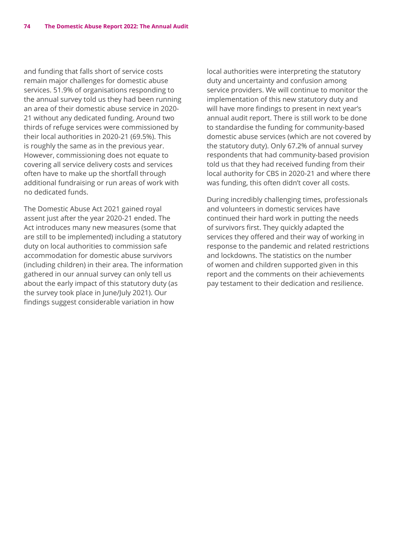and funding that falls short of service costs remain major challenges for domestic abuse services. 51.9% of organisations responding to the annual survey told us they had been running an area of their domestic abuse service in 2020- 21 without any dedicated funding. Around two thirds of refuge services were commissioned by their local authorities in 2020-21 (69.5%). This is roughly the same as in the previous year. However, commissioning does not equate to covering all service delivery costs and services often have to make up the shortfall through additional fundraising or run areas of work with no dedicated funds.

The Domestic Abuse Act 2021 gained royal assent just after the year 2020-21 ended. The Act introduces many new measures (some that are still to be implemented) including a statutory duty on local authorities to commission safe accommodation for domestic abuse survivors (including children) in their area. The information gathered in our annual survey can only tell us about the early impact of this statutory duty (as the survey took place in June/July 2021). Our findings suggest considerable variation in how

local authorities were interpreting the statutory duty and uncertainty and confusion among service providers. We will continue to monitor the implementation of this new statutory duty and will have more findings to present in next year's annual audit report. There is still work to be done to standardise the funding for community-based domestic abuse services (which are not covered by the statutory duty). Only 67.2% of annual survey respondents that had community-based provision told us that they had received funding from their local authority for CBS in 2020-21 and where there was funding, this often didn't cover all costs.

During incredibly challenging times, professionals and volunteers in domestic services have continued their hard work in putting the needs of survivors first. They quickly adapted the services they offered and their way of working in response to the pandemic and related restrictions and lockdowns. The statistics on the number of women and children supported given in this report and the comments on their achievements pay testament to their dedication and resilience.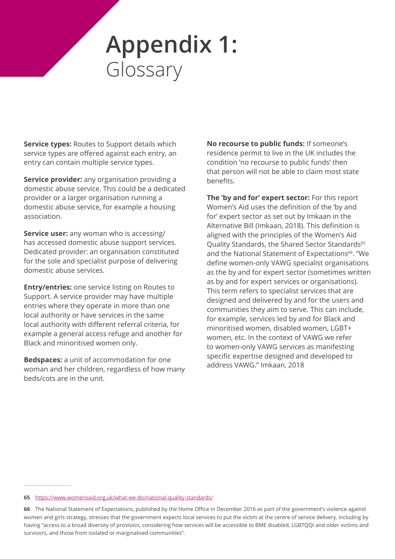# **Appendix 1:**  Glossary

**Service types: Routes to Support details which** service types are offered against each entry, an entry can contain multiple service types.

**Service provider:** any organisation providing a domestic abuse service. This could be a dedicated provider or a larger organisation running a domestic abuse service, for example a housing association.

**Service user:** any woman who is accessing/ has accessed domestic abuse support services. Dedicated provider: an organisation constituted for the sole and specialist purpose of delivering domestic abuse services.

**Entry/entries:** one service listing on Routes to Support. A service provider may have multiple entries where they operate in more than one local authority or have services in the same local authority with different referral criteria, for example a general access refuge and another for Black and minoritised women only.

**Bedspaces:** a unit of accommodation for one woman and her children, regardless of how many beds/cots are in the unit.

**No recourse to public funds:** If someone's residence permit to live in the UK includes the condition 'no recourse to public funds' then that person will not be able to claim most state benefits.

**The 'by and for' expert sector:** For this report Women's Aid uses the definition of the 'by and for' expert sector as set out by Imkaan in the Alternative Bill (Imkaan, 2018). This definition is aligned with the principles of the Women's Aid Quality Standards, the Shared Sector Standards<sup>65</sup> and the National Statement of Expectations<sup>66</sup>. "We define women-only VAWG specialist organisations as the by and for expert sector (sometimes written as by and for expert services or organisations). This term refers to specialist services that are designed and delivered by and for the users and communities they aim to serve. This can include, for example, services led by and for Black and minoritised women, disabled women, LGBT+ women, etc. In the context of VAWG we refer to women-only VAWG services as manifesting specific expertise designed and developed to address VAWG." Imkaan, 2018

#### **65** <https://www.womensaid.org.uk/what-we-do/national-quality-standards/>

**<sup>66</sup>** The National Statement of Expectations, published by the Home Office in December 2016 as part of the government's violence against women and girls strategy, stresses that the government expects local services to put the victim at the centre of service delivery, including by having "access to a broad diversity of provision, considering how services will be accessible to BME disabled, LGBTQQI and older victims and survivors, and those from isolated or marginalised communities".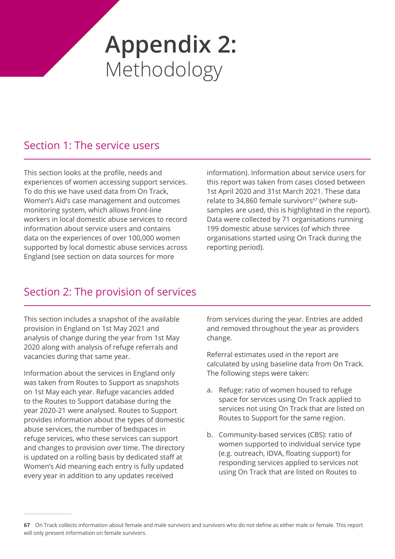# **Appendix 2:**  Methodology

### Section 1: The service users

This section looks at the profile, needs and experiences of women accessing support services. To do this we have used data from On Track, Women's Aid's case management and outcomes monitoring system, which allows front-line workers in local domestic abuse services to record information about service users and contains data on the experiences of over 100,000 women supported by local domestic abuse services across England (see section on data sources for more

information). Information about service users for this report was taken from cases closed between 1st April 2020 and 31st March 2021. These data relate to 34,860 female survivors<sup>67</sup> (where subsamples are used, this is highlighted in the report). Data were collected by 71 organisations running 199 domestic abuse services (of which three organisations started using On Track during the reporting period).

## Section 2: The provision of services

This section includes a snapshot of the available provision in England on 1st May 2021 and analysis of change during the year from 1st May 2020 along with analysis of refuge referrals and vacancies during that same year.

Information about the services in England only was taken from Routes to Support as snapshots on 1st May each year. Refuge vacancies added to the Routes to Support database during the year 2020-21 were analysed. Routes to Support provides information about the types of domestic abuse services, the number of bedspaces in refuge services, who these services can support and changes to provision over time. The directory is updated on a rolling basis by dedicated staff at Women's Aid meaning each entry is fully updated every year in addition to any updates received

from services during the year. Entries are added and removed throughout the year as providers change.

Referral estimates used in the report are calculated by using baseline data from On Track. The following steps were taken:

- a. Refuge: ratio of women housed to refuge space for services using On Track applied to services not using On Track that are listed on Routes to Support for the same region.
- b. Community-based services (CBS): ratio of women supported to individual service type (e.g. outreach, IDVA, floating support) for responding services applied to services not using On Track that are listed on Routes to

**<sup>67</sup>** On Track collects information about female and male survivors and survivors who do not define as either male or female. This report will only present information on female survivors.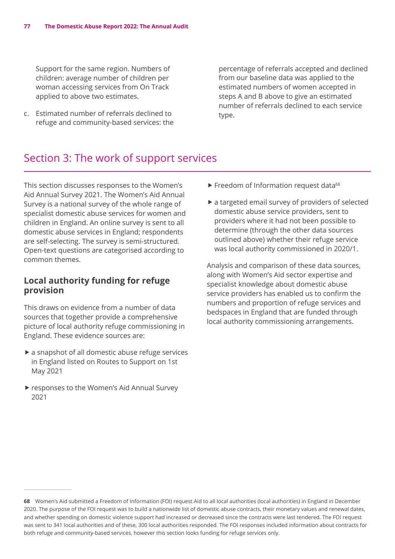Support for the same region. Numbers of children: average number of children per woman accessing services from On Track applied to above two estimates.

c. Estimated number of referrals declined to refuge and community-based services: the percentage of referrals accepted and declined from our baseline data was applied to the estimated numbers of women accepted in steps A and B above to give an estimated number of referrals declined to each service type.

### Section 3: The work of support services

This section discusses responses to the Women's Aid Annual Survey 2021. The Women's Aid Annual Survey is a national survey of the whole range of specialist domestic abuse services for women and children in England. An online survey is sent to all domestic abuse services in England; respondents are self-selecting. The survey is semi-structured. Open-text questions are categorised according to common themes.

#### **Local authority funding for refuge provision**

This draws on evidence from a number of data sources that together provide a comprehensive picture of local authority refuge commissioning in England. These evidence sources are:

- $\blacktriangleright$  a snapshot of all domestic abuse refuge services in England listed on Routes to Support on 1st May 2021
- $\blacktriangleright$  responses to the Women's Aid Annual Survey 2021
- $\blacktriangleright$  Freedom of Information request data<sup>68</sup>
- $\blacktriangleright$  a targeted email survey of providers of selected domestic abuse service providers, sent to providers where it had not been possible to determine (through the other data sources outlined above) whether their refuge service was local authority commissioned in 2020/1.

Analysis and comparison of these data sources, along with Women's Aid sector expertise and specialist knowledge about domestic abuse service providers has enabled us to confirm the numbers and proportion of refuge services and bedspaces in England that are funded through local authority commissioning arrangements.

**<sup>68</sup>** Women's Aid submitted a Freedom of Information (FOI) request Aid to all local authorities (local authorities) in England in December 2020. The purpose of the FOI request was to build a nationwide list of domestic abuse contracts, their monetary values and renewal dates, and whether spending on domestic violence support had increased or decreased since the contracts were last tendered. The FOI request was sent to 341 local authorities and of these, 300 local authorities responded. The FOI responses included information about contracts for both refuge and community-based services, however this section looks funding for refuge services only.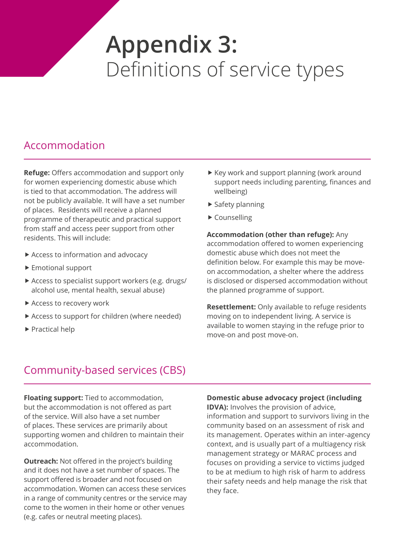## **Appendix 3:**  Definitions of service types

### Accommodation

**Refuge:** Offers accommodation and support only for women experiencing domestic abuse which is tied to that accommodation. The address will not be publicly available. It will have a set number of places. Residents will receive a planned programme of therapeutic and practical support from staff and access peer support from other residents. This will include:

- $\blacktriangleright$  Access to information and advocacy
- $\blacktriangleright$  Emotional support
- $\triangleright$  Access to specialist support workers (e.g. drugs/ alcohol use, mental health, sexual abuse)
- Access to recovery work
- $\triangleright$  Access to support for children (where needed)
- $\blacktriangleright$  Practical help
- $\blacktriangleright$  Key work and support planning (work around support needs including parenting, finances and wellbeing)
- $\blacktriangleright$  Safety planning
- $\blacktriangleright$  Counselling

**Accommodation (other than refuge):** Any accommodation offered to women experiencing domestic abuse which does not meet the definition below. For example this may be moveon accommodation, a shelter where the address is disclosed or dispersed accommodation without the planned programme of support.

**Resettlement:** Only available to refuge residents moving on to independent living. A service is available to women staying in the refuge prior to move-on and post move-on.

### Community-based services (CBS)

**Floating support:** Tied to accommodation, but the accommodation is not offered as part of the service. Will also have a set number of places. These services are primarily about supporting women and children to maintain their accommodation.

**Outreach:** Not offered in the project's building and it does not have a set number of spaces. The support offered is broader and not focused on accommodation. Women can access these services in a range of community centres or the service may come to the women in their home or other venues (e.g. cafes or neutral meeting places).

#### **Domestic abuse advocacy project (including**

**IDVA):** Involves the provision of advice, information and support to survivors living in the community based on an assessment of risk and its management. Operates within an inter-agency context, and is usually part of a multiagency risk management strategy or MARAC process and focuses on providing a service to victims judged to be at medium to high risk of harm to address their safety needs and help manage the risk that they face.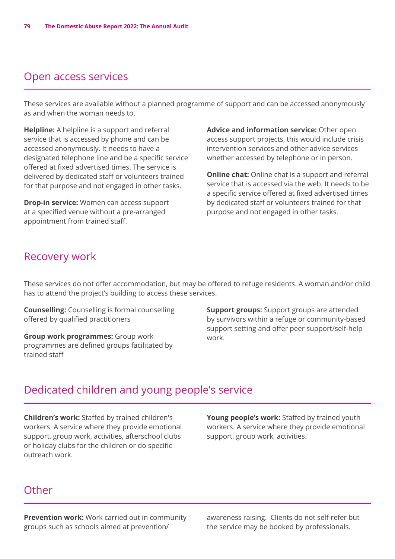### Open access services

These services are available without a planned programme of support and can be accessed anonymously as and when the woman needs to.

**Helpline:** A helpline is a support and referral service that is accessed by phone and can be accessed anonymously. It needs to have a designated telephone line and be a specific service offered at fixed advertised times. The service is delivered by dedicated staff or volunteers trained for that purpose and not engaged in other tasks.

**Drop-in service:** Women can access support at a specified venue without a pre-arranged appointment from trained staff.

**Advice and information service:** Other open access support projects, this would include crisis intervention services and other advice services whether accessed by telephone or in person.

**Online chat:** Online chat is a support and referral service that is accessed via the web. It needs to be a specific service offered at fixed advertised times by dedicated staff or volunteers trained for that purpose and not engaged in other tasks.

#### Recovery work

These services do not offer accommodation, but may be offered to refuge residents. A woman and/or child has to attend the project's building to access these services.

**Counselling:** Counselling is formal counselling offered by qualified practitioners

**Group work programmes:** Group work programmes are defined groups facilitated by trained staff

**Support groups:** Support groups are attended by survivors within a refuge or community-based support setting and offer peer support/self-help work.

### Dedicated children and young people's service

**Children's work:** Staffed by trained children's workers. A service where they provide emotional support, group work, activities, afterschool clubs or holiday clubs for the children or do specific outreach work.

**Young people's work:** Staffed by trained youth workers. A service where they provide emotional support, group work, activities.

#### **Other**

**Prevention work:** Work carried out in community groups such as schools aimed at prevention/

awareness raising. Clients do not self-refer but the service may be booked by professionals.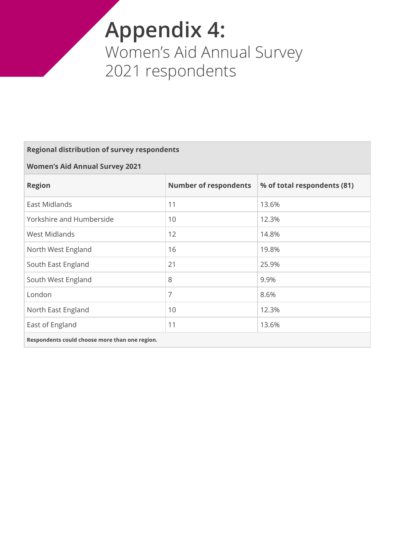## **Appendix 4:**  Women's Aid Annual Survey 2021 respondents

#### **Regional distribution of survey respondents**

#### **Women's Aid Annual Survey 2021**

| <b>Region</b>            | <b>Number of respondents</b> | % of total respondents (81) |
|--------------------------|------------------------------|-----------------------------|
| East Midlands            | 11                           | 13.6%                       |
| Yorkshire and Humberside | 10                           | 12.3%                       |
| <b>West Midlands</b>     | 12                           | 14.8%                       |
| North West England       | 16                           | 19.8%                       |
| South East England       | 21                           | 25.9%                       |
| South West England       | 8                            | 9.9%                        |
| London                   | 7                            | 8.6%                        |
| North East England       | 10                           | 12.3%                       |
| East of England          | 11                           | 13.6%                       |
|                          |                              |                             |

**Respondents could choose more than one region.**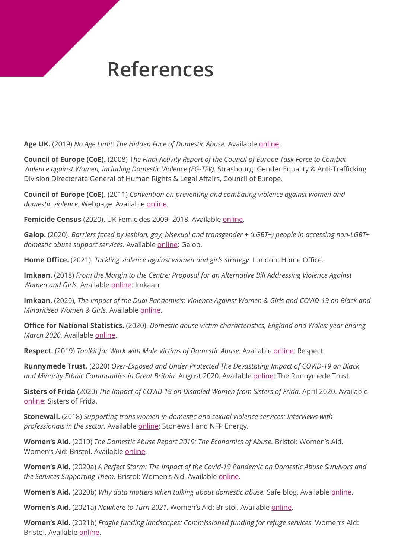## **References**

**Age UK.** (2019) *No Age Limit: The Hidden Face of Domestic Abuse.* Available [online.](https://www.ageuk.org.uk/globalassets/age-uk/documents/reports-and-publications/age_uk_no_age_limit.pdf)

**Council of Europe (CoE).** (2008) T*he Final Activity Report of the Council of Europe Task Force to Combat Violence against Women, including Domestic Violence (EG-TFV).* Strasbourg: Gender Equality & Anti-Trafficking Division Directorate General of Human Rights & Legal Affairs, Council of Europe.

**Council of Europe (CoE).** (2011) *Convention on preventing and combating violence against women and*  domestic violence. Webpage. Available [online](https://www.coe.int/fr/web/conventions/full-list/-/ conventions/rms/090000168008482e%5bAccessed July 2021).

**Femicide Census** (2020). UK Femicides 2009- 2018. Available [online](https://www.femicidecensus.org/wp-content/uploads/2020/11/Femicide-Census-10-year-report.pdf).

**Galop.** (2020). *Barriers faced by lesbian, gay, bisexual and transgender + (LGBT+) people in accessing non-LGBT+ domestic abuse support services.* Available [online:](https://galop.org.uk/research/) Galop.

**Home Office.** (2021). *Tackling violence against women and girls strategy*. London: Home Office.

**Imkaan.** (2018) *From the Margin to the Centre: Proposal for an Alternative Bill Addressing Violence Against Women and Girls.* Available [online](https://www.imkaan.org.uk/updates/2018/alternative-bill): Imkaan.

**Imkaan.** (2020), *The Impact of the Dual Pandemic's: Violence Against Women & Girls and COVID-19 on Black and Minoritised Women & Girls.* Available [online.](https://829ef90d-0745-49b2-b404-cbea85f15fda.filesusr.com/ugd/2f475d_2c6797da42c6454f933837a7290ffe21.pdf)

**Office for National Statistics.** (2020). *Domestic abuse victim characteristics, England and Wales: year ending March 2020.* Available [online.](https://www.ons.gov.uk/peoplepopulationandcommunity/crimeandjustice/articles/domesticabusevictimcharacteristicsenglandandwales/yearendingmarch2020)

**Respect.** (2019) *Toolkit for Work with Male Victims of Domestic Abuse.* Available [online:](https://www.respect.uk.net/pages/43-work-with-male-victims) Respect.

**Runnymede Trust.** (2020) *Over-Exposed and Under Protected The Devastating Impact of COVID-19 on Black and Minority Ethnic Communities in Great Britain.* August 2020. Available [online](https://www.runnymedetrust.org/projects-and-publications/employment-3/overexposed-and-underprotected-covid-19s-impact-on-bme-communities.html): The Runnymede Trust.

**Sisters of Frida** (2020) *The Impact of COVID 19 on Disabled Women from Sisters of Frida.* April 2020. Available [online](https://www.sisofrida.org/the-impact-of-covid-19-on-disabled-women-from-sisters-of-frida/): Sisters of Frida.

**Stonewall.** (2018) *Supporting trans women in domestic and sexual violence services: Interviews with professionals in the sector.* Available [online](https://www.stonewall.org.uk/resources/supporting-trans-women-domestic-and-sexual-violence-services): Stonewall and NFP Energy.

**Women's Aid.** (2019) *The Domestic Abuse Report 2019: The Economics of Abuse.* Bristol: Women's Aid. Women's Aid: Bristol. Available [online.](https://www.womensaid.org.uk/evidence-hub/)

**Women's Aid.** (2020a) *A Perfect Storm: The Impact of the Covid-19 Pandemic on Domestic Abuse Survivors and the Services Supporting Them.* Bristol: Women's Aid. Available [online](https://www.womensaid.org.uk/evidence-hub/).

**Women's Aid.** (2020b) *Why data matters when talking about domestic abuse.* Safe blog. Available [online.](https://www.womensaid.org.uk/evidence-hub/)

**Women's Aid.** (2021a) *Nowhere to Turn 2021.* Women's Aid: Bristol. Available [online.](https://www.womensaid.org.uk/evidence-hub/)

**Women's Aid.** (2021b) *Fragile funding landscapes: Commissioned funding for refuge services.* Women's Aid: Bristol. Available [online.](https://www.womensaid.org.uk/evidence-hub/)